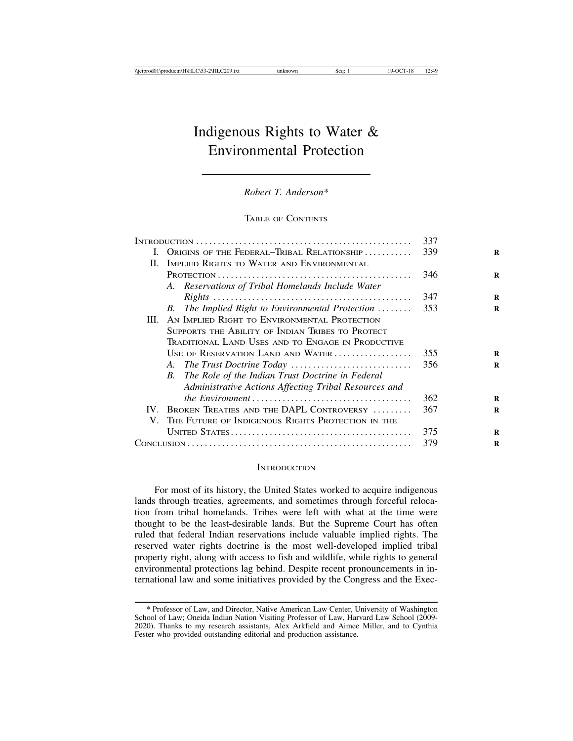# Indigenous Rights to Water & Environmental Protection

*Robert T. Anderson\**

## TABLE OF CONTENTS

|              |                                                            | 337 |
|--------------|------------------------------------------------------------|-----|
| $\mathbf{I}$ | ORIGINS OF THE FEDERAL-TRIBAL RELATIONSHIP                 | 339 |
|              | II. IMPLIED RIGHTS TO WATER AND ENVIRONMENTAL              |     |
|              |                                                            | 346 |
|              | A. Reservations of Tribal Homelands Include Water          |     |
|              |                                                            | 347 |
|              | B. The Implied Right to Environmental Protection           | 353 |
| III.         | AN IMPLIED RIGHT TO ENVIRONMENTAL PROTECTION               |     |
|              | SUPPORTS THE ABILITY OF INDIAN TRIBES TO PROTECT           |     |
|              | Traditional Land Uses and to Engage in Productive          |     |
|              | USE OF RESERVATION LAND AND WATER                          | 355 |
|              |                                                            | 356 |
|              | <b>B.</b> The Role of the Indian Trust Doctrine in Federal |     |
|              | Administrative Actions Affecting Tribal Resources and      |     |
|              |                                                            | 362 |
|              | IV. BROKEN TREATIES AND THE DAPL CONTROVERSY               | 367 |
| V.           | THE FUTURE OF INDIGENOUS RIGHTS PROTECTION IN THE          |     |
|              |                                                            | 375 |
|              |                                                            | 379 |
|              |                                                            |     |

#### **INTRODUCTION**

For most of its history, the United States worked to acquire indigenous lands through treaties, agreements, and sometimes through forceful relocation from tribal homelands. Tribes were left with what at the time were thought to be the least-desirable lands. But the Supreme Court has often ruled that federal Indian reservations include valuable implied rights. The reserved water rights doctrine is the most well-developed implied tribal property right, along with access to fish and wildlife, while rights to general environmental protections lag behind. Despite recent pronouncements in international law and some initiatives provided by the Congress and the Exec-

<sup>\*</sup> Professor of Law, and Director, Native American Law Center, University of Washington School of Law; Oneida Indian Nation Visiting Professor of Law, Harvard Law School (2009- 2020). Thanks to my research assistants, Alex Arkfield and Aimee Miller, and to Cynthia Fester who provided outstanding editorial and production assistance.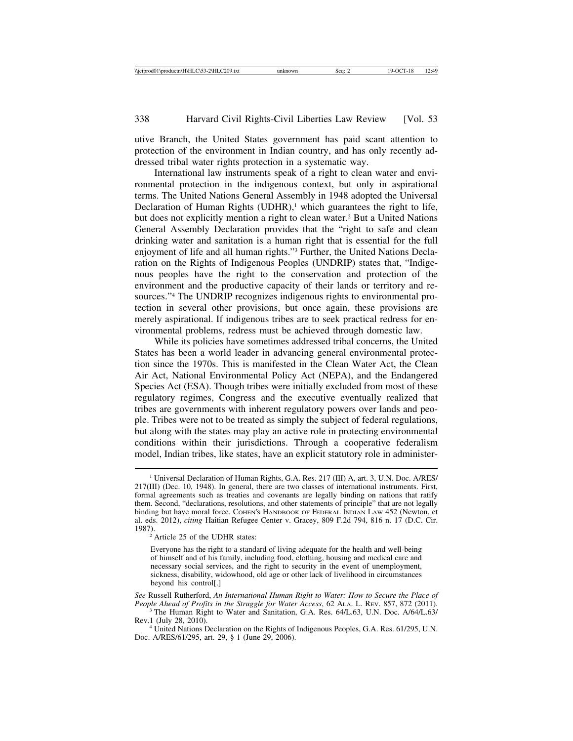utive Branch, the United States government has paid scant attention to protection of the environment in Indian country, and has only recently addressed tribal water rights protection in a systematic way.

International law instruments speak of a right to clean water and environmental protection in the indigenous context, but only in aspirational terms. The United Nations General Assembly in 1948 adopted the Universal Declaration of Human Rights  $(UDHR)$ ,<sup>1</sup> which guarantees the right to life, but does not explicitly mention a right to clean water.2 But a United Nations General Assembly Declaration provides that the "right to safe and clean drinking water and sanitation is a human right that is essential for the full enjoyment of life and all human rights."3 Further, the United Nations Declaration on the Rights of Indigenous Peoples (UNDRIP) states that, "Indigenous peoples have the right to the conservation and protection of the environment and the productive capacity of their lands or territory and resources."4 The UNDRIP recognizes indigenous rights to environmental protection in several other provisions, but once again, these provisions are merely aspirational. If indigenous tribes are to seek practical redress for environmental problems, redress must be achieved through domestic law.

While its policies have sometimes addressed tribal concerns, the United States has been a world leader in advancing general environmental protection since the 1970s. This is manifested in the Clean Water Act, the Clean Air Act, National Environmental Policy Act (NEPA), and the Endangered Species Act (ESA). Though tribes were initially excluded from most of these regulatory regimes, Congress and the executive eventually realized that tribes are governments with inherent regulatory powers over lands and people. Tribes were not to be treated as simply the subject of federal regulations, but along with the states may play an active role in protecting environmental conditions within their jurisdictions. Through a cooperative federalism model, Indian tribes, like states, have an explicit statutory role in administer-

 $\frac{1}{2}$  Article 25 of the UDHR states:

Everyone has the right to a standard of living adequate for the health and well-being of himself and of his family, including food, clothing, housing and medical care and necessary social services, and the right to security in the event of unemployment, sickness, disability, widowhood, old age or other lack of livelihood in circumstances beyond his control[.]

*See* Russell Rutherford, *An International Human Right to Water: How to Secure the Place of*

<sup>3</sup> The Human Right to Water and Sanitation, G.A. Res. 64/L.63, U.N. Doc. A/64/L.63/<br>Rev.1 (July 28, 2010).

<sup>4</sup> United Nations Declaration on the Rights of Indigenous Peoples, G.A. Res. 61/295, U.N. Doc. A/RES/61/295, art. 29, § 1 (June 29, 2006).

<sup>1</sup> Universal Declaration of Human Rights, G.A. Res. 217 (III) A, art. 3, U.N. Doc. A/RES/ 217(III) (Dec. 10, 1948). In general, there are two classes of international instruments. First, formal agreements such as treaties and covenants are legally binding on nations that ratify them. Second, "declarations, resolutions, and other statements of principle" that are not legally binding but have moral force. COHEN'S HANDBOOK OF FEDERAL INDIAN LAW 452 (Newton, et al. eds. 2012), *citing* Haitian Refugee Center v. Gracey, 809 F.2d 794, 816 n. 17 (D.C. Cir.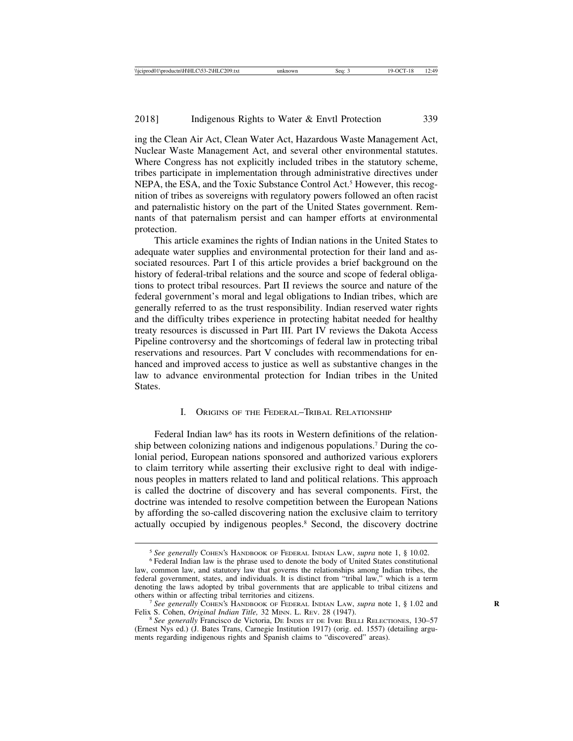ing the Clean Air Act, Clean Water Act, Hazardous Waste Management Act, Nuclear Waste Management Act, and several other environmental statutes. Where Congress has not explicitly included tribes in the statutory scheme, tribes participate in implementation through administrative directives under NEPA, the ESA, and the Toxic Substance Control Act.<sup>5</sup> However, this recognition of tribes as sovereigns with regulatory powers followed an often racist and paternalistic history on the part of the United States government. Remnants of that paternalism persist and can hamper efforts at environmental protection.

This article examines the rights of Indian nations in the United States to adequate water supplies and environmental protection for their land and associated resources. Part I of this article provides a brief background on the history of federal-tribal relations and the source and scope of federal obligations to protect tribal resources. Part II reviews the source and nature of the federal government's moral and legal obligations to Indian tribes, which are generally referred to as the trust responsibility. Indian reserved water rights and the difficulty tribes experience in protecting habitat needed for healthy treaty resources is discussed in Part III. Part IV reviews the Dakota Access Pipeline controversy and the shortcomings of federal law in protecting tribal reservations and resources. Part V concludes with recommendations for enhanced and improved access to justice as well as substantive changes in the law to advance environmental protection for Indian tribes in the United **States**.

## I. ORIGINS OF THE FEDERAL–TRIBAL RELATIONSHIP

Federal Indian law<sup>6</sup> has its roots in Western definitions of the relationship between colonizing nations and indigenous populations.7 During the colonial period, European nations sponsored and authorized various explorers to claim territory while asserting their exclusive right to deal with indigenous peoples in matters related to land and political relations. This approach is called the doctrine of discovery and has several components. First, the doctrine was intended to resolve competition between the European Nations by affording the so-called discovering nation the exclusive claim to territory actually occupied by indigenous peoples.8 Second, the discovery doctrine

<sup>&</sup>lt;sup>5</sup> See generally COHEN'S HANDBOOK OF FEDERAL INDIAN LAW, *supra* note 1, § 10.02. <sup>6</sup> Federal Indian law is the phrase used to denote the body of United States constitutional

law, common law, and statutory law that governs the relationships among Indian tribes, the federal government, states, and individuals. It is distinct from "tribal law," which is a term denoting the laws adopted by tribal governments that are applicable to tribal citizens and others within or affecting tribal territories and citizens.

<sup>&</sup>lt;sup>7</sup> *See generally* COHEN'S HANDBOOK OF FEDERAL INDIAN LAW, *supra* note 1, § 1.02 and Felix S. Cohen, *Original Indian Title*, 32 MINN. L. REV. 28 (1947).

<sup>&</sup>lt;sup>8</sup> See generally Francisco de Victoria, DE INDIS ET DE IVRE BELLI RELECTIONES, 130-57 (Ernest Nys ed.) (J. Bates Trans, Carnegie Institution 1917) (orig. ed. 1557) (detailing arguments regarding indigenous rights and Spanish claims to "discovered" areas).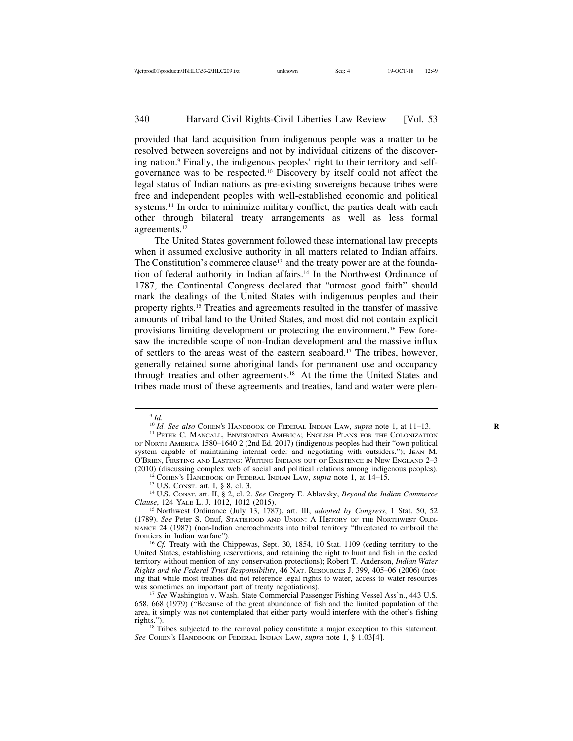provided that land acquisition from indigenous people was a matter to be resolved between sovereigns and not by individual citizens of the discovering nation.9 Finally, the indigenous peoples' right to their territory and selfgovernance was to be respected.10 Discovery by itself could not affect the legal status of Indian nations as pre-existing sovereigns because tribes were free and independent peoples with well-established economic and political systems.<sup>11</sup> In order to minimize military conflict, the parties dealt with each other through bilateral treaty arrangements as well as less formal agreements.12

The United States government followed these international law precepts when it assumed exclusive authority in all matters related to Indian affairs. The Constitution's commerce clause<sup>13</sup> and the treaty power are at the foundation of federal authority in Indian affairs.14 In the Northwest Ordinance of 1787, the Continental Congress declared that "utmost good faith" should mark the dealings of the United States with indigenous peoples and their property rights.15 Treaties and agreements resulted in the transfer of massive amounts of tribal land to the United States, and most did not contain explicit provisions limiting development or protecting the environment.16 Few foresaw the incredible scope of non-Indian development and the massive influx of settlers to the areas west of the eastern seaboard.17 The tribes, however, generally retained some aboriginal lands for permanent use and occupancy through treaties and other agreements.18 At the time the United States and tribes made most of these agreements and treaties, land and water were plen-

<sup>&</sup>lt;sup>9</sup> *Id. .<br><sup>10</sup> Id. <i>See also* Cohen's Handbook of Federal Indian Law, *supra* note 1, at 11–13.<br><sup>11</sup> Peter C. Mancall, Envisioning America; English Plans for the Colonization

OF NORTH AMERICA 1580–1640 2 (2nd Ed. 2017) (indigenous peoples had their "own political system capable of maintaining internal order and negotiating with outsiders."); JEAN M. O'BRIEN, FIRSTING AND LASTING: WRITING INDIANS OUT OF EXISTENCE IN NEW ENGLAND 2-3 (2010) (discussing complex web of social and political relations among indigenous peoples).

<sup>&</sup>lt;sup>12</sup> COHEN'S HANDBOOK OF FEDERAL INDIAN LAW, *supra* note 1, at  $14-15$ .<br><sup>13</sup> U.S. CONST. art. I, § 8, cl. 3.<br><sup>14</sup> U.S. CONST. art. II, § 2, cl. 2. *See* Gregory E. Ablavsky, *Beyond the Indian Commerce Clause*, 124 YALE

<sup>&</sup>lt;sup>15</sup> Northwest Ordinance (July 13, 1787), art. III, *adopted by Congress*, 1 Stat. 50, 52 (1789). *See* Peter S. Onuf, STATEHOOD AND UNION: A HISTORY OF THE NORTHWEST ORDI-NANCE 24 (1987) (non-Indian encroachments into tribal territory "threatened to embroil the frontiers in Indian warfare").<br><sup>16</sup> *Cf.* Treaty with the Chippewas, Sept. 30, 1854, 10 Stat. 1109 (ceding territory to the

United States, establishing reservations, and retaining the right to hunt and fish in the ceded territory without mention of any conservation protections); Robert T. Anderson, *Indian Water Rights and the Federal Trust Responsibility*, 46 NAT. RESOURCES J. 399, 405–06 (2006) (noting that while most treaties did not reference legal rights to water, access to water resources was sometimes an important part of treaty negotiations).<br><sup>17</sup> *See* Washington v. Wash. State Commercial Passenger Fishing Vessel Ass'n., 443 U.S.

<sup>658, 668 (1979) (&</sup>quot;Because of the great abundance of fish and the limited population of the area, it simply was not contemplated that either party would interfere with the other's fishing rights.").

<sup>&</sup>lt;sup>18</sup> Tribes subjected to the removal policy constitute a major exception to this statement. *See* COHEN'S HANDBOOK OF FEDERAL INDIAN LAW, *supra* note 1, § 1.03[4].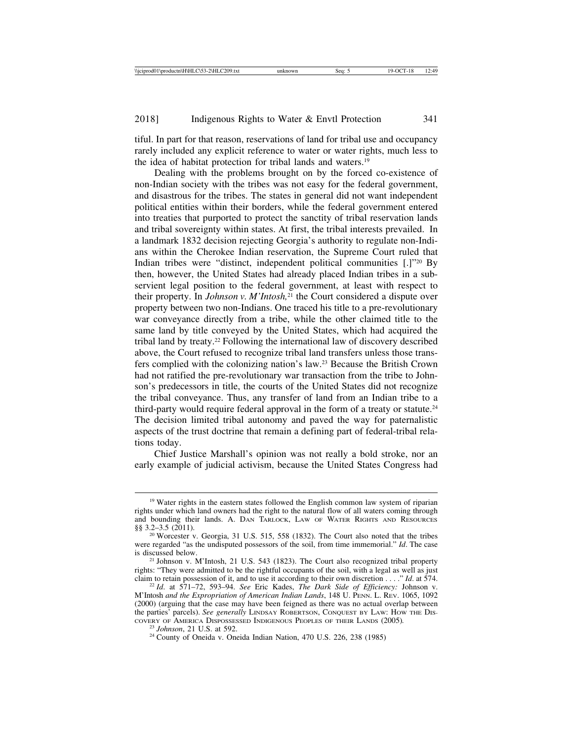tiful. In part for that reason, reservations of land for tribal use and occupancy rarely included any explicit reference to water or water rights, much less to the idea of habitat protection for tribal lands and waters.19

Dealing with the problems brought on by the forced co-existence of non-Indian society with the tribes was not easy for the federal government, and disastrous for the tribes. The states in general did not want independent political entities within their borders, while the federal government entered into treaties that purported to protect the sanctity of tribal reservation lands and tribal sovereignty within states. At first, the tribal interests prevailed. In a landmark 1832 decision rejecting Georgia's authority to regulate non-Indians within the Cherokee Indian reservation, the Supreme Court ruled that Indian tribes were "distinct, independent political communities [.]"20 By then, however, the United States had already placed Indian tribes in a subservient legal position to the federal government, at least with respect to their property. In *Johnson v. M'Intosh,*21 the Court considered a dispute over property between two non-Indians. One traced his title to a pre-revolutionary war conveyance directly from a tribe, while the other claimed title to the same land by title conveyed by the United States, which had acquired the tribal land by treaty.22 Following the international law of discovery described above, the Court refused to recognize tribal land transfers unless those transfers complied with the colonizing nation's law.23 Because the British Crown had not ratified the pre-revolutionary war transaction from the tribe to Johnson's predecessors in title, the courts of the United States did not recognize the tribal conveyance. Thus, any transfer of land from an Indian tribe to a third-party would require federal approval in the form of a treaty or statute.<sup>24</sup> The decision limited tribal autonomy and paved the way for paternalistic aspects of the trust doctrine that remain a defining part of federal-tribal relations today.

Chief Justice Marshall's opinion was not really a bold stroke, nor an early example of judicial activism, because the United States Congress had

<sup>&</sup>lt;sup>19</sup> Water rights in the eastern states followed the English common law system of riparian rights under which land owners had the right to the natural flow of all waters coming through and bounding their lands. A. DAN TARLOCK, LAW OF WATER RIGHTS AND RESOURCES §§ 3.2-3.5 (2011).

<sup>&</sup>lt;sup>20</sup> Worcester v. Georgia, 31 U.S. 515, 558 (1832). The Court also noted that the tribes were regarded "as the undisputed possessors of the soil, from time immemorial." *Id*. The case is discussed below.

<sup>&</sup>lt;sup>21</sup> Johnson v. M'Intosh, 21 U.S. 543 (1823). The Court also recognized tribal property rights: "They were admitted to be the rightful occupants of the soil, with a legal as well as just claim to retain possession of it, and to use it according to their own discretion . . . . "Id. at 574.

<sup>&</sup>lt;sup>22</sup> Id. at 571–72, 593–94. *See* Eric Kades, *The Dark Side of Efficiency: Johnson v.* M'Intosh *and the Expropriation of American Indian Lands*, 148 U. PENN. L. REV. 1065, 1092 (2000) (arguing that the case may have been feigned as there was no actual overlap between the parties' parcels). *See generally LINDSAY ROBERTSON*, CONQUEST BY LAW: HOW THE DIS-COVERY OF AMERICA DISPOSSESSED INDIGENOUS PEOPLES OF THEIR LANDS (2005).

<sup>&</sup>lt;sup>23</sup> *Johnson*, 21 U.S. at 592.<br><sup>24</sup> County of Oneida v. Oneida Indian Nation, 470 U.S. 226, 238 (1985)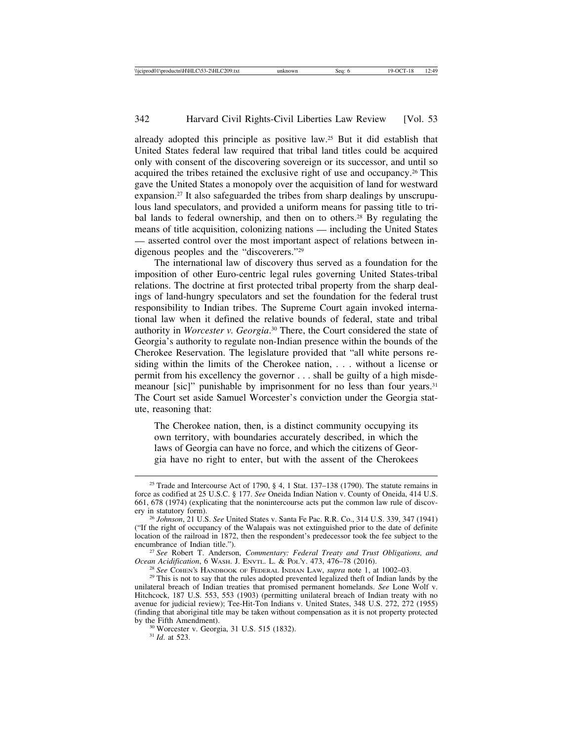already adopted this principle as positive law.25 But it did establish that United States federal law required that tribal land titles could be acquired only with consent of the discovering sovereign or its successor, and until so acquired the tribes retained the exclusive right of use and occupancy.26 This gave the United States a monopoly over the acquisition of land for westward expansion.27 It also safeguarded the tribes from sharp dealings by unscrupulous land speculators, and provided a uniform means for passing title to tribal lands to federal ownership, and then on to others.<sup>28</sup> By regulating the means of title acquisition, colonizing nations — including the United States — asserted control over the most important aspect of relations between indigenous peoples and the "discoverers."29

The international law of discovery thus served as a foundation for the imposition of other Euro-centric legal rules governing United States-tribal relations. The doctrine at first protected tribal property from the sharp dealings of land-hungry speculators and set the foundation for the federal trust responsibility to Indian tribes. The Supreme Court again invoked international law when it defined the relative bounds of federal, state and tribal authority in *Worcester v. Georgia*. 30 There, the Court considered the state of Georgia's authority to regulate non-Indian presence within the bounds of the Cherokee Reservation. The legislature provided that "all white persons residing within the limits of the Cherokee nation, . . . without a license or permit from his excellency the governor . . . shall be guilty of a high misdemeanour [sic]" punishable by imprisonment for no less than four years.<sup>31</sup> The Court set aside Samuel Worcester's conviction under the Georgia statute, reasoning that:

The Cherokee nation, then, is a distinct community occupying its own territory, with boundaries accurately described, in which the laws of Georgia can have no force, and which the citizens of Georgia have no right to enter, but with the assent of the Cherokees

<sup>&</sup>lt;sup>25</sup> Trade and Intercourse Act of 1790, § 4, 1 Stat. 137–138 (1790). The statute remains in force as codified at 25 U.S.C. § 177. *See* Oneida Indian Nation v. County of Oneida, 414 U.S. 661, 678 (1974) (explicating that the nonintercourse acts put the common law rule of discovery in statutory form). <sup>26</sup> *Johnson*, 21 U.S. *See* United States v. Santa Fe Pac. R.R. Co., 314 U.S. 339, 347 (1941)

<sup>(&</sup>quot;If the right of occupancy of the Walapais was not extinguished prior to the date of definite location of the railroad in 1872, then the respondent's predecessor took the fee subject to the

encumbrance of Indian title.").<br><sup>27</sup> *See* Robert T. Anderson, *Commentary: Federal Treaty and Trust Obligations, and*<br>*Ocean Acidification*, 6 WASH. J. ENVTL. L. & POL'Y. 473, 476–78 (2016).

<sup>&</sup>lt;sup>28</sup> See COHEN's HANDBOOK OF FEDERAL INDIAN LAW, *supra* note 1, at 1002–03.<br><sup>29</sup> This is not to say that the rules adopted prevented legalized theft of Indian lands by the unilateral breach of Indian treaties that promised permanent homelands. *See* Lone Wolf v. Hitchcock, 187 U.S. 553, 553 (1903) (permitting unilateral breach of Indian treaty with no avenue for judicial review); Tee-Hit-Ton Indians v. United States, 348 U.S. 272, 272 (1955) (finding that aboriginal title may be taken without compensation as it is not property protected

<sup>&</sup>lt;sup>30</sup> Worcester v. Georgia, 31 U.S. 515 (1832). <sup>31</sup> *Id.* at 523.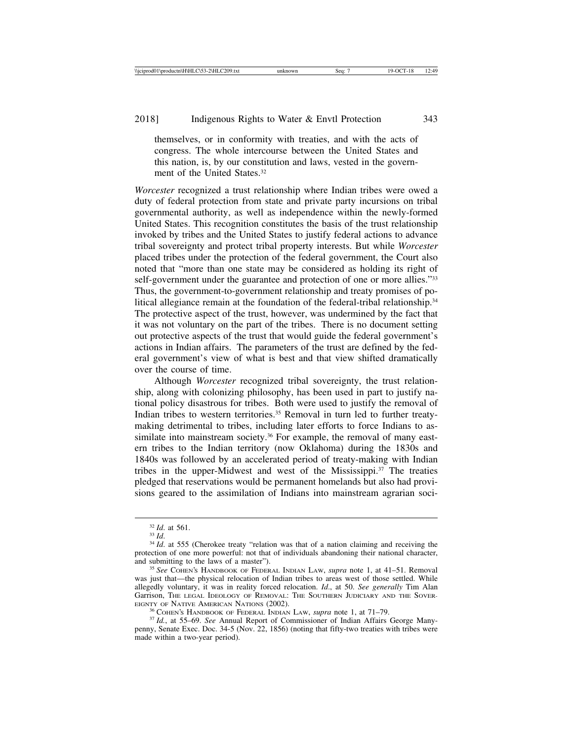themselves, or in conformity with treaties, and with the acts of congress. The whole intercourse between the United States and this nation, is, by our constitution and laws, vested in the government of the United States.<sup>32</sup>

*Worcester* recognized a trust relationship where Indian tribes were owed a duty of federal protection from state and private party incursions on tribal governmental authority, as well as independence within the newly-formed United States. This recognition constitutes the basis of the trust relationship invoked by tribes and the United States to justify federal actions to advance tribal sovereignty and protect tribal property interests. But while *Worcester* placed tribes under the protection of the federal government, the Court also noted that "more than one state may be considered as holding its right of self-government under the guarantee and protection of one or more allies."33 Thus, the government-to-government relationship and treaty promises of political allegiance remain at the foundation of the federal-tribal relationship.<sup>34</sup> The protective aspect of the trust, however, was undermined by the fact that it was not voluntary on the part of the tribes. There is no document setting out protective aspects of the trust that would guide the federal government's actions in Indian affairs. The parameters of the trust are defined by the federal government's view of what is best and that view shifted dramatically over the course of time.

Although *Worcester* recognized tribal sovereignty, the trust relationship, along with colonizing philosophy, has been used in part to justify national policy disastrous for tribes. Both were used to justify the removal of Indian tribes to western territories.35 Removal in turn led to further treatymaking detrimental to tribes, including later efforts to force Indians to assimilate into mainstream society.<sup>36</sup> For example, the removal of many eastern tribes to the Indian territory (now Oklahoma) during the 1830s and 1840s was followed by an accelerated period of treaty-making with Indian tribes in the upper-Midwest and west of the Mississippi.<sup>37</sup> The treaties pledged that reservations would be permanent homelands but also had provisions geared to the assimilation of Indians into mainstream agrarian soci-

<sup>&</sup>lt;sup>32</sup> *Id*. at 561.<br><sup>33</sup> *Id*. 34 *Id*. at 555 (Cherokee treaty "relation was that of a nation claiming and receiving the protection of one more powerful: not that of individuals abandoning their national character, and submitting to the laws of a master"). <sup>35</sup> *See* COHEN'S HANDBOOK OF FEDERAL INDIAN LAW, *supra* note 1, at 41–51. Removal

was just that—the physical relocation of Indian tribes to areas west of those settled. While allegedly voluntary, it was in reality forced relocation. *Id*., at 50. *See generally* Tim Alan Garrison, The Legal Ideology of Removal: The Southern Judiciary and the Sover-<br>EIGNTY OF NATIVE AMERICAN NATIONS (2002).

<sup>&</sup>lt;sup>36</sup> COHEN's HANDBOOK OF FEDERAL INDIAN LAW, *supra* note 1, at 71–79.<br><sup>37</sup> *Id.*, at 55–69. *See* Annual Report of Commissioner of Indian Affairs George Many-

penny, Senate Exec. Doc. 34-5 (Nov. 22, 1856) (noting that fifty-two treaties with tribes were made within a two-year period).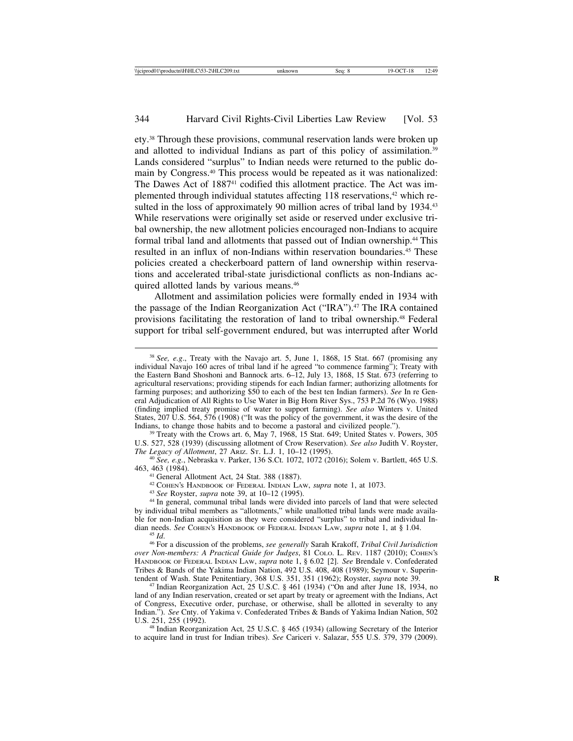ety.38 Through these provisions, communal reservation lands were broken up and allotted to individual Indians as part of this policy of assimilation.<sup>39</sup> Lands considered "surplus" to Indian needs were returned to the public domain by Congress.40 This process would be repeated as it was nationalized: The Dawes Act of 1887<sup>41</sup> codified this allotment practice. The Act was implemented through individual statutes affecting 118 reservations,<sup>42</sup> which resulted in the loss of approximately 90 million acres of tribal land by 1934.<sup>43</sup> While reservations were originally set aside or reserved under exclusive tribal ownership, the new allotment policies encouraged non-Indians to acquire formal tribal land and allotments that passed out of Indian ownership.44 This resulted in an influx of non-Indians within reservation boundaries.<sup>45</sup> These policies created a checkerboard pattern of land ownership within reservations and accelerated tribal-state jurisdictional conflicts as non-Indians acquired allotted lands by various means.46

Allotment and assimilation policies were formally ended in 1934 with the passage of the Indian Reorganization Act ("IRA").<sup>47</sup> The IRA contained provisions facilitating the restoration of land to tribal ownership.48 Federal support for tribal self-government endured, but was interrupted after World

<sup>39</sup> Treaty with the Crows art. 6, May 7, 1968, 15 Stat. 649; United States v. Powers, 305 U.S. 527, 528 (1939) (discussing allotment of Crow Reservation). *See also* Judith V. Royster,

<sup>40</sup> See, e.g., Nebraska v. Parker, 136 S.Ct. 1072, 1072 (2016); Solem v. Bartlett, 465 U.S. 463, 463 (1984).

<sup>41</sup> General Allotment Act, 24 Stat. 388 (1887).<br><sup>42</sup> COHEN's HANDBOOK OF FEDERAL INDIAN LAW, *supra* note 1, at 1073.<br><sup>43</sup> See Royster, *supra* note 39, at 10–12 (1995).<br><sup>44</sup> In general, communal tribal lands were divide by individual tribal members as "allotments," while unallotted tribal lands were made available for non-Indian acquisition as they were considered "surplus" to tribal and individual Indian needs. See COHEN'S HANDBOOK OF FEDERAL INDIAN LAW, *supra* note 1, at  $\S$  1.04. dian needs. *See* COHEN'S HANDBOOK OF FEDERAL INDIAN LAW, *supra* note 1, at § 1.04. <sup>45</sup> *Id*. <sup>46</sup> For a discussion of the problems, *see generally* Sarah Krakoff, *Tribal Civil Jurisdiction*

*over Non-members: A Practical Guide for Judges*, 81 COLO. L. REV. 1187 (2010); COHEN'S HANDBOOK OF FEDERAL INDIAN LAW, *supra* note 1, § 6.02 [2]. *See* Brendale v. Confederated Tribes & Bands of the Yakima Indian Nation, 492 U.S. 408, 408 (1989); Seymour v. Superintendent of Wash. State Penitentiary, 368 U.S. 351, 351 (1962); Royster, *supra* note 39.

<sup>47</sup> Indian Reorganization Act, 25 U.S.C. § 461 (1934) ("On and after June 18, 1934, no land of any Indian reservation, created or set apart by treaty or agreement with the Indians, Act of Congress, Executive order, purchase, or otherwise, shall be allotted in severalty to any Indian."). *See* Cnty. of Yakima v. Confederated Tribes & Bands of Yakima Indian Nation, 502 U.S. 251, 255 (1992).

<sup>48</sup> Indian Reorganization Act, 25 U.S.C. § 465 (1934) (allowing Secretary of the Interior to acquire land in trust for Indian tribes). *See* Cariceri v. Salazar, 555 U.S. 379, 379 (2009).

<sup>38</sup> *See, e.g*., Treaty with the Navajo art. 5, June 1, 1868, 15 Stat. 667 (promising any individual Navajo 160 acres of tribal land if he agreed "to commence farming"); Treaty with the Eastern Band Shoshoni and Bannock arts. 6–12, July 13, 1868, 15 Stat. 673 (referring to agricultural reservations; providing stipends for each Indian farmer; authorizing allotments for farming purposes; and authorizing \$50 to each of the best ten Indian farmers). *See* In re General Adjudication of All Rights to Use Water in Big Horn River Sys., 753 P.2d 76 (Wyo. 1988) (finding implied treaty promise of water to support farming). *See also* Winters v. United States, 207 U.S. 564, 576 (1908) ("It was the policy of the government, it was the desire of the Indians, to change those habits and to become a pastoral and civilized people.").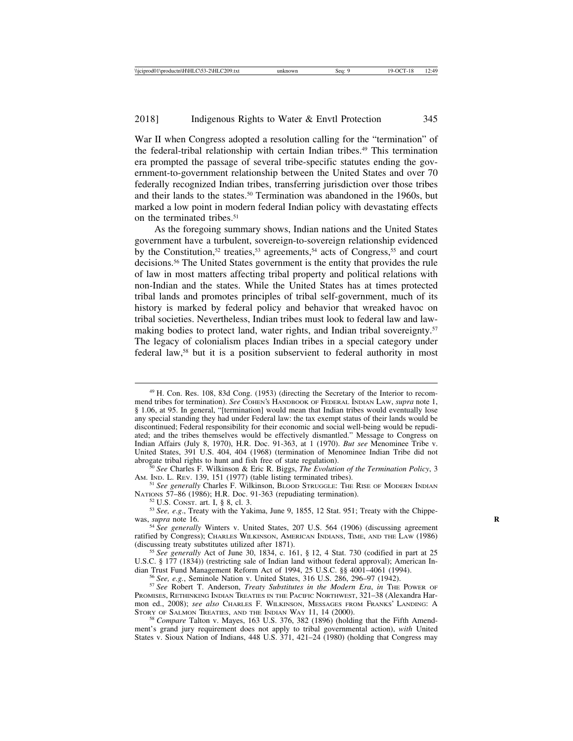War II when Congress adopted a resolution calling for the "termination" of the federal-tribal relationship with certain Indian tribes.<sup>49</sup> This termination era prompted the passage of several tribe-specific statutes ending the government-to-government relationship between the United States and over 70 federally recognized Indian tribes, transferring jurisdiction over those tribes and their lands to the states.<sup>50</sup> Termination was abandoned in the 1960s, but marked a low point in modern federal Indian policy with devastating effects on the terminated tribes.<sup>51</sup>

As the foregoing summary shows, Indian nations and the United States government have a turbulent, sovereign-to-sovereign relationship evidenced by the Constitution,<sup>52</sup> treaties,<sup>53</sup> agreements,<sup>54</sup> acts of Congress,<sup>55</sup> and court decisions.56 The United States government is the entity that provides the rule of law in most matters affecting tribal property and political relations with non-Indian and the states. While the United States has at times protected tribal lands and promotes principles of tribal self-government, much of its history is marked by federal policy and behavior that wreaked havoc on tribal societies. Nevertheless, Indian tribes must look to federal law and lawmaking bodies to protect land, water rights, and Indian tribal sovereignty.<sup>57</sup> The legacy of colonialism places Indian tribes in a special category under federal law,58 but it is a position subservient to federal authority in most

<sup>50</sup> See Charles F. Wilkinson & Eric R. Biggs, *The Evolution of the Termination Policy*, 3 *AM.* IND. L. REV. 139, 151 (1977) (table listing terminated tribes).

<sup>51</sup> See generally Charles F. Wilkinson, BLOOD STRUGGLE: THE RISE OF MODERN INDIAN NATIONS 57-86 (1986); H.R. Doc. 91-363 (repudiating termination).

<sup>52</sup> U.S. CONST. art. I, § 8, cl. 3.  $S^3$  See, *e.g.*, Treaty with the Yakima, June 9, 1855, 12 Stat. 951; Treaty with the Chippewas, *supra* note 16. **R** 54 *See generally* Winters v. United States, 207 U.S. 564 (1906) (discussing agreement

ratified by Congress); CHARLES WILKINSON, AMERICAN INDIANS, TIME, AND THE LAW (1986) (discussing treaty substitutes utilized after 1871). <sup>55</sup> *See generally* Act of June 30, 1834, c. 161, § 12, 4 Stat. 730 (codified in part at 25

U.S.C. § 177 (1834)) (restricting sale of Indian land without federal approval); American Indian Trust Fund Management Reform Act of 1994, 25 U.S.C. §§ 4001–4061 (1994).

<sup>56</sup> See, e.g., Seminole Nation v. United States, 316 U.S. 286, 296–97 (1942).<br><sup>57</sup> See Robert T. Anderson, *Treaty Substitutes in the Modern Era*, *in* The Power of PROMISES, RETHINKING INDIAN TREATIES IN THE PACIFIC NORTHWEST, 321–38 (Alexandra Harmon ed., 2008); *see also* CHARLES F. WILKINSON, MESSAGES FROM FRANKS' LANDING: A STORY OF SALMON TREATIES, AND THE INDIAN WAY 11, 14 (2000).

<sup>58</sup> *Compare* Talton v. Mayes, 163 U.S. 376, 382 (1896) (holding that the Fifth Amendment's grand jury requirement does not apply to tribal governmental action), *with* United States v. Sioux Nation of Indians, 448 U.S. 371, 421–24 (1980) (holding that Congress may

<sup>49</sup> H. Con. Res. 108, 83d Cong. (1953) (directing the Secretary of the Interior to recommend tribes for termination). *See* COHEN'S HANDBOOK OF FEDERAL INDIAN LAW, *supra* note 1, § 1.06, at 95. In general, "[termination] would mean that Indian tribes would eventually lose any special standing they had under Federal law: the tax exempt status of their lands would be discontinued; Federal responsibility for their economic and social well-being would be repudiated; and the tribes themselves would be effectively dismantled." Message to Congress on Indian Affairs (July 8, 1970), H.R. Doc. 91-363, at 1 (1970). *But see* Menominee Tribe v. United States, 391 U.S. 404, 404 (1968) (termination of Menominee Indian Tribe did not abrogate tribal rights to hunt and fish free of state regulation).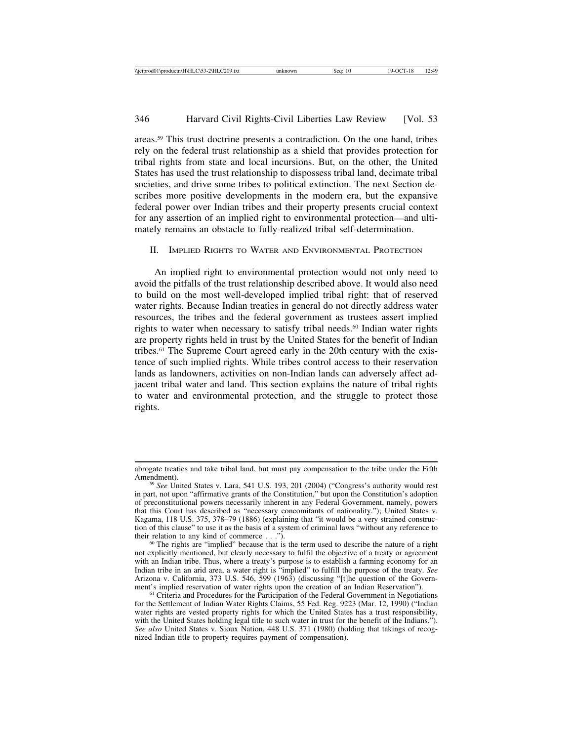areas.59 This trust doctrine presents a contradiction. On the one hand, tribes rely on the federal trust relationship as a shield that provides protection for tribal rights from state and local incursions. But, on the other, the United States has used the trust relationship to dispossess tribal land, decimate tribal societies, and drive some tribes to political extinction. The next Section describes more positive developments in the modern era, but the expansive federal power over Indian tribes and their property presents crucial context for any assertion of an implied right to environmental protection—and ultimately remains an obstacle to fully-realized tribal self-determination.

## II. IMPLIED RIGHTS TO WATER AND ENVIRONMENTAL PROTECTION

An implied right to environmental protection would not only need to avoid the pitfalls of the trust relationship described above. It would also need to build on the most well-developed implied tribal right: that of reserved water rights. Because Indian treaties in general do not directly address water resources, the tribes and the federal government as trustees assert implied rights to water when necessary to satisfy tribal needs.<sup>60</sup> Indian water rights are property rights held in trust by the United States for the benefit of Indian tribes.61 The Supreme Court agreed early in the 20th century with the existence of such implied rights. While tribes control access to their reservation lands as landowners, activities on non-Indian lands can adversely affect adjacent tribal water and land. This section explains the nature of tribal rights to water and environmental protection, and the struggle to protect those rights.

abrogate treaties and take tribal land, but must pay compensation to the tribe under the Fifth

Amendment). <sup>59</sup> *See* United States v. Lara, 541 U.S. 193, 201 (2004) ("Congress's authority would rest in part, not upon "affirmative grants of the Constitution," but upon the Constitution's adoption of preconstitutional powers necessarily inherent in any Federal Government, namely, powers that this Court has described as "necessary concomitants of nationality."); United States v. Kagama, 118 U.S. 375, 378–79 (1886) (explaining that "it would be a very strained construction of this clause" to use it as the basis of a system of criminal laws "without any reference to their relation to any kind of commerce  $\dots$ ").

 $60$  The rights are "implied" because that is the term used to describe the nature of a right not explicitly mentioned, but clearly necessary to fulfil the objective of a treaty or agreement with an Indian tribe. Thus, where a treaty's purpose is to establish a farming economy for an Indian tribe in an arid area, a water right is "implied" to fulfill the purpose of the treaty. *See* Arizona v. California, 373 U.S. 546, 599 (1963) (discussing "[t]he question of the Government's implied reservation of water rights upon the creation of an Indian Reservation").<br><sup>61</sup> Criteria and Procedures for the Participation of the Federal Government in Negotiations

for the Settlement of Indian Water Rights Claims, 55 Fed. Reg. 9223 (Mar. 12, 1990) ("Indian water rights are vested property rights for which the United States has a trust responsibility, with the United States holding legal title to such water in trust for the benefit of the Indians."). *See also* United States v. Sioux Nation, 448 U.S. 371 (1980) (holding that takings of recognized Indian title to property requires payment of compensation).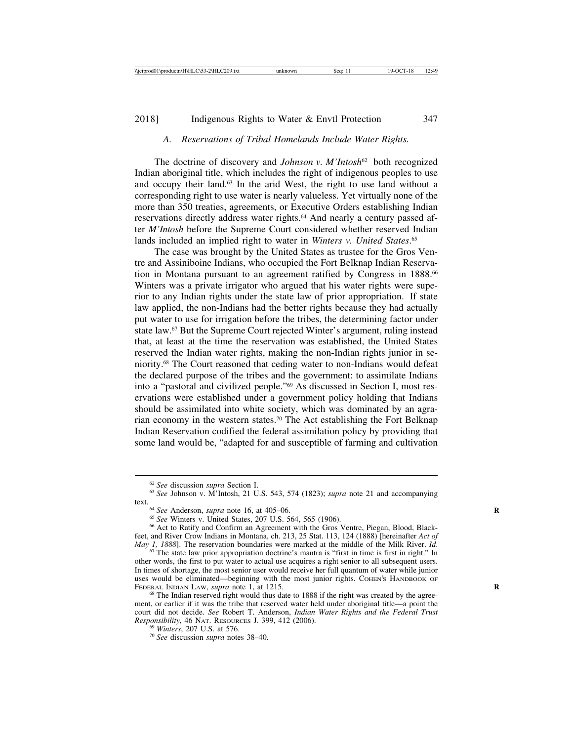## *A. Reservations of Tribal Homelands Include Water Rights.*

The doctrine of discovery and *Johnson v. M'Intosh*62 both recognized Indian aboriginal title, which includes the right of indigenous peoples to use and occupy their land.<sup>63</sup> In the arid West, the right to use land without a corresponding right to use water is nearly valueless. Yet virtually none of the more than 350 treaties, agreements, or Executive Orders establishing Indian reservations directly address water rights.64 And nearly a century passed after *M'Intosh* before the Supreme Court considered whether reserved Indian lands included an implied right to water in *Winters v. United States*. 65

The case was brought by the United States as trustee for the Gros Ventre and Assiniboine Indians, who occupied the Fort Belknap Indian Reservation in Montana pursuant to an agreement ratified by Congress in 1888.<sup>66</sup> Winters was a private irrigator who argued that his water rights were superior to any Indian rights under the state law of prior appropriation. If state law applied, the non-Indians had the better rights because they had actually put water to use for irrigation before the tribes, the determining factor under state law.67 But the Supreme Court rejected Winter's argument, ruling instead that, at least at the time the reservation was established, the United States reserved the Indian water rights, making the non-Indian rights junior in seniority.68 The Court reasoned that ceding water to non-Indians would defeat the declared purpose of the tribes and the government: to assimilate Indians into a "pastoral and civilized people."69 As discussed in Section I, most reservations were established under a government policy holding that Indians should be assimilated into white society, which was dominated by an agrarian economy in the western states.70 The Act establishing the Fort Belknap Indian Reservation codified the federal assimilation policy by providing that some land would be, "adapted for and susceptible of farming and cultivation

<sup>62</sup> *See* discussion *supra* Section I. <sup>63</sup> *See* Johnson v. M'Intosh, 21 U.S. 543, 574 (1823); *supra* note 21 and accompanying

<sup>&</sup>lt;sup>64</sup> See Anderson, *supra* note 16, at 405–06.<br><sup>65</sup> See Winters v. United States, 207 U.S. 564, 565 (1906). 66 Act to Ratify and Confirm an Agreement with the Gros Ventre, Piegan, Blood, Blackfeet, and River Crow Indians in Montana, ch. 213, 25 Stat. 113, 124 (1888) [hereinafter *Act of*

<sup>&</sup>lt;sup>67</sup> The state law prior appropriation doctrine's mantra is "first in time is first in right." In other words, the first to put water to actual use acquires a right senior to all subsequent users. In times of shortage, the most senior user would receive her full quantum of water while junior uses would be eliminated—beginning with the most junior rights. COHEN's HANDBOOK OF FEDERAL INDIAN LAW, *supra* note 1, at 1215.

<sup>&</sup>lt;sup>68</sup> The Indian reserved right would thus date to 1888 if the right was created by the agreement, or earlier if it was the tribe that reserved water held under aboriginal title—a point the court did not decide. *See* Robert T. Anderson, *Indian Water Rights and the Federal Trust Responsibility*, 46 NAT. RESOURCES J. 399, 412 (2006).<br><sup>69</sup> *Winters*, 207 U.S. at 576.<br><sup>70</sup> *See* discussion *supra* notes 38–40.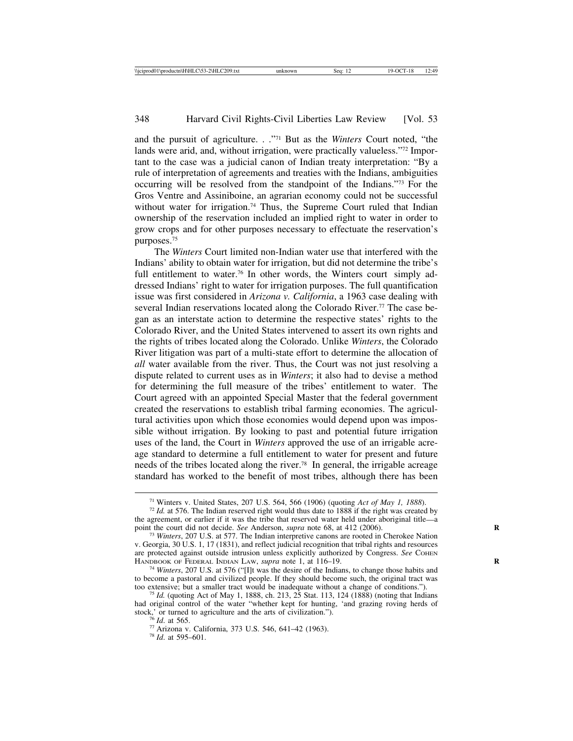and the pursuit of agriculture. . ."71 But as the *Winters* Court noted, "the lands were arid, and, without irrigation, were practically valueless."<sup>72</sup> Important to the case was a judicial canon of Indian treaty interpretation: "By a rule of interpretation of agreements and treaties with the Indians, ambiguities occurring will be resolved from the standpoint of the Indians."73 For the Gros Ventre and Assiniboine, an agrarian economy could not be successful without water for irrigation.<sup>74</sup> Thus, the Supreme Court ruled that Indian ownership of the reservation included an implied right to water in order to grow crops and for other purposes necessary to effectuate the reservation's purposes.75

The *Winters* Court limited non-Indian water use that interfered with the Indians' ability to obtain water for irrigation, but did not determine the tribe's full entitlement to water.<sup>76</sup> In other words, the Winters court simply addressed Indians' right to water for irrigation purposes. The full quantification issue was first considered in *Arizona v. California*, a 1963 case dealing with several Indian reservations located along the Colorado River.<sup>77</sup> The case began as an interstate action to determine the respective states' rights to the Colorado River, and the United States intervened to assert its own rights and the rights of tribes located along the Colorado. Unlike *Winters*, the Colorado River litigation was part of a multi-state effort to determine the allocation of *all* water available from the river. Thus, the Court was not just resolving a dispute related to current uses as in *Winters*; it also had to devise a method for determining the full measure of the tribes' entitlement to water. The Court agreed with an appointed Special Master that the federal government created the reservations to establish tribal farming economies. The agricultural activities upon which those economies would depend upon was impossible without irrigation. By looking to past and potential future irrigation uses of the land, the Court in *Winters* approved the use of an irrigable acreage standard to determine a full entitlement to water for present and future needs of the tribes located along the river.78 In general, the irrigable acreage standard has worked to the benefit of most tribes, although there has been

<sup>&</sup>lt;sup>71</sup> Winters v. United States, 207 U.S. 564, 566 (1906) (quoting *Act of May 1, 1888*). <sup>72</sup> *Id.* at 576. The Indian reserved right would thus date to 1888 if the right was created by

the agreement, or earlier if it was the tribe that reserved water held under aboriginal title—a point the court did not decide. See Anderson, *supra* note 68, at 412 (2006).

<sup>&</sup>lt;sup>73</sup> *Winters*, 207 U.S. at 577. The Indian interpretive canons are rooted in Cherokee Nation v. Georgia, 30 U.S. 1, 17 (1831), and reflect judicial recognition that tribal rights and resources are protected against outside intrusion unless explicitly authorized by Congress. *See* COHEN HANDBOOK OF FEDERAL INDIAN LAW, *supra* note 1, at 116–19.

<sup>&</sup>lt;sup>74</sup> Winters, 207 U.S. at 576 ("[I]t was the desire of the Indians, to change those habits and to become a pastoral and civilized people. If they should become such, the original tract was too extensive; but a smaller tract would be inadequate without a change of conditions.").

<sup>&</sup>lt;sup>75</sup> *Id.* (quoting Act of May 1, 1888, ch. 213, 25 Stat. 113, 124 (1888) (noting that Indians had original control of the water "whether kept for hunting, 'and grazing roving herds of stock,' or turned to agriculture and the arts of civilization.").

<sup>&</sup>lt;sup>76</sup> *Id.* at 565.<br><sup>77</sup> Arizona v. California, 373 U.S. 546, 641–42 (1963).<br><sup>78</sup> *Id.* at 595–601.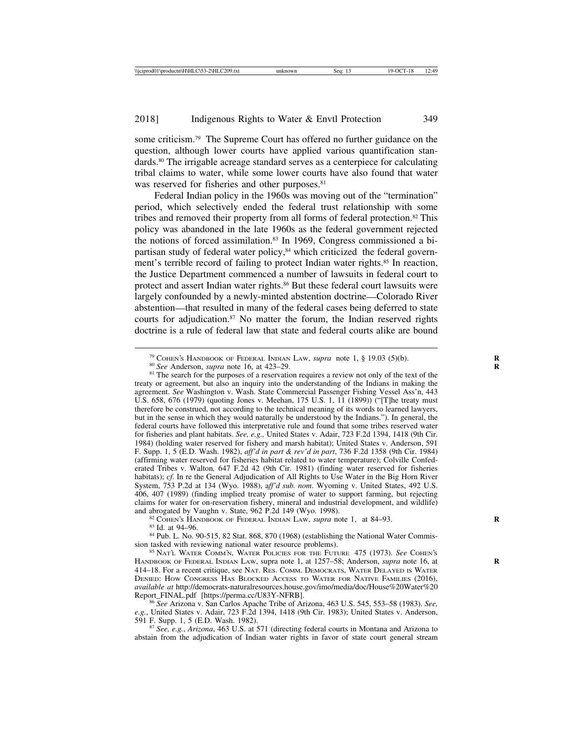some criticism.79 The Supreme Court has offered no further guidance on the question, although lower courts have applied various quantification standards.80 The irrigable acreage standard serves as a centerpiece for calculating tribal claims to water, while some lower courts have also found that water was reserved for fisheries and other purposes.<sup>81</sup>

Federal Indian policy in the 1960s was moving out of the "termination" period, which selectively ended the federal trust relationship with some tribes and removed their property from all forms of federal protection.82 This policy was abandoned in the late 1960s as the federal government rejected the notions of forced assimilation.83 In 1969, Congress commissioned a bipartisan study of federal water policy,84 which criticized the federal government's terrible record of failing to protect Indian water rights.<sup>85</sup> In reaction, the Justice Department commenced a number of lawsuits in federal court to protect and assert Indian water rights.<sup>86</sup> But these federal court lawsuits were largely confounded by a newly-minted abstention doctrine—Colorado River abstention—that resulted in many of the federal cases being deferred to state courts for adjudication. $87$  No matter the forum, the Indian reserved rights doctrine is a rule of federal law that state and federal courts alike are bound

<sup>79</sup> COHEN's HANDBOOK OF FEDERAL INDIAN LAW, *supra* note 1, § 19.03 (5)(b).<br><sup>80</sup> See Anderson, *supra* note 16, at 423–29.<br><sup>81</sup> The search for the purposes of a reservation requires a review not only of the text of the treaty or agreement, but also an inquiry into the understanding of the Indians in making the agreement. *See* Washington v. Wash. State Commercial Passenger Fishing Vessel Ass'n, 443 U.S. 658, 676 (1979) (quoting Jones v. Meehan, 175 U.S. 1, 11 (1899)) ("[T]he treaty must therefore be construed, not according to the technical meaning of its words to learned lawyers, but in the sense in which they would naturally be understood by the Indians."). In general, the federal courts have followed this interpretative rule and found that some tribes reserved water for fisheries and plant habitats. *See, e.g.,* United States v. Adair, 723 F.2d 1394, 1418 (9th Cir. 1984) (holding water reserved for fishery and marsh habitat); United States v. Anderson, 591 F. Supp. 1, 5 (E.D. Wash. 1982), *aff'd in part & rev'd in part*, 736 F.2d 1358 (9th Cir. 1984) (affirming water reserved for fisheries habitat related to water temperature); Colville Confederated Tribes v. Walton*,* 647 F.2d 42 (9th Cir. 1981) (finding water reserved for fisheries habitats); *cf*. In re the General Adjudication of All Rights to Use Water in the Big Horn River System, 753 P.2d at 134 (Wyo. 1988), a*ff'd sub. nom*. Wyoming v. United States, 492 U.S. 406, 407 (1989) (finding implied treaty promise of water to support farming, but rejecting claims for water for on-reservation fishery, mineral and industrial development, and wildlife) and abrogated by Vaughn v. State, 962 P.2d 149 (Wyo. 1998).

<sup>82</sup> COHEN'S HANDBOOK OF FEDERAL INDIAN LAW, *supra* note 1, at 84–93.<br><sup>83</sup> Id. at 94–96.<br><sup>84</sup> Pub. L. No. 90-515, 82 Stat. 868, 870 (1968) (establishing the National Water Commission tasked with reviewing national water resource problems). <sup>85</sup> NAT'L WATER COMM'N, WATER POLICIES FOR THE FUTURE 475 (1973). *See* COHEN'S

HANDBOOK OF FEDERAL INDIAN LAW, supra note 1, at 1257–58; Anderson, *supra* note 16, at **R** 414–18. For a recent critique, see NAT. RES. COMM. DEMOCRATS, WATER DELAYED IS WATER DENIED: HOW CONGRESS HAS BLOCKED ACCESS TO WATER FOR NATIVE FAMILIES (2016), *available at* http://democrats-naturalresources.house.gov/imo/media/doc/House%20Water%20 Report\_FINAL.pdf [https://perma.cc/U83Y-NFRB]. <sup>86</sup> *See* Arizona v. San Carlos Apache Tribe of Arizona, 463 U.S. 545, 553–58 (1983). *See,*

*e.g.*, United States v. Adair, 723 F.2d 1394, 1418 (9th Cir. 1983); United States v. Anderson, 591 F. Supp. 1, 5 (E.D. Wash. 1982).

591 F. Supp. 1, 5 (E.D. Wash. 1982). <sup>87</sup> *See, e.g.*, *Arizona*, 463 U.S. at 571 (directing federal courts in Montana and Arizona to abstain from the adjudication of Indian water rights in favor of state court general stream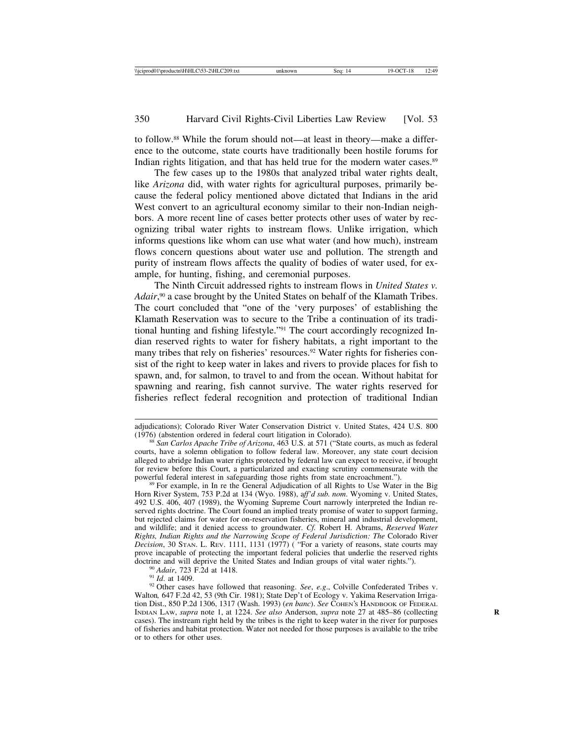to follow.88 While the forum should not—at least in theory—make a difference to the outcome, state courts have traditionally been hostile forums for Indian rights litigation, and that has held true for the modern water cases.<sup>89</sup>

The few cases up to the 1980s that analyzed tribal water rights dealt, like *Arizona* did, with water rights for agricultural purposes, primarily because the federal policy mentioned above dictated that Indians in the arid West convert to an agricultural economy similar to their non-Indian neighbors. A more recent line of cases better protects other uses of water by recognizing tribal water rights to instream flows. Unlike irrigation, which informs questions like whom can use what water (and how much), instream flows concern questions about water use and pollution. The strength and purity of instream flows affects the quality of bodies of water used, for example, for hunting, fishing, and ceremonial purposes.

The Ninth Circuit addressed rights to instream flows in *United States v.* Adair,<sup>90</sup> a case brought by the United States on behalf of the Klamath Tribes. The court concluded that "one of the 'very purposes' of establishing the Klamath Reservation was to secure to the Tribe a continuation of its traditional hunting and fishing lifestyle."91 The court accordingly recognized Indian reserved rights to water for fishery habitats, a right important to the many tribes that rely on fisheries' resources.<sup>92</sup> Water rights for fisheries consist of the right to keep water in lakes and rivers to provide places for fish to spawn, and, for salmon, to travel to and from the ocean. Without habitat for spawning and rearing, fish cannot survive. The water rights reserved for fisheries reflect federal recognition and protection of traditional Indian

adjudications); Colorado River Water Conservation District v. United States, 424 U.S. 800

<sup>&</sup>lt;sup>88</sup> San Carlos Apache Tribe of Arizona, 463 U.S. at 571 ("State courts, as much as federal courts, have a solemn obligation to follow federal law. Moreover, any state court decision alleged to abridge Indian water rights protected by federal law can expect to receive, if brought for review before this Court, a particularized and exacting scrutiny commensurate with the powerful federal interest in safeguarding those rights from state encroachment.").

 $89$  For example, in In re the General Adjudication of all Rights to Use Water in the Big Horn River System, 753 P.2d at 134 (Wyo. 1988), a*ff'd sub. nom*. Wyoming v. United States, 492 U.S. 406, 407 (1989), the Wyoming Supreme Court narrowly interpreted the Indian reserved rights doctrine. The Court found an implied treaty promise of water to support farming, but rejected claims for water for on-reservation fisheries, mineral and industrial development, and wildlife; and it denied access to groundwater. *Cf.* Robert H. Abrams, *Reserved Water Rights, Indian Rights and the Narrowing Scope of Federal Jurisdiction: The* Colorado River *Decision*, 30 STAN. L. REV. 1111, 1131 (1977) ( "For a variety of reasons, state courts may prove incapable of protecting the important federal policies that underlie the reserved rights doctrine and will deprive the United States and Indian groups of vital water rights.").

<sup>&</sup>lt;sup>90</sup> Adair, 723 F.2d at 1418.<br><sup>91</sup> Id. at 1409.<br><sup>92</sup> Other cases have followed that reasoning. *See*, *e.g.*, Colville Confederated Tribes v. Walton*,* 647 F.2d 42, 53 (9th Cir. 1981); State Dep't of Ecology v. Yakima Reservation Irrigation Dist., 850 P.2d 1306, 1317 (Wash. 1993) (*en banc*). *See* COHEN'S HANDBOOK OF FEDERAL INDIAN LAW, *supra* note 1, at 1224. *See also* Anderson, *supra* note 27 at 485–86 (collecting **R** cases). The instream right held by the tribes is the right to keep water in the river for purposes of fisheries and habitat protection. Water not needed for those purposes is available to the tribe or to others for other uses.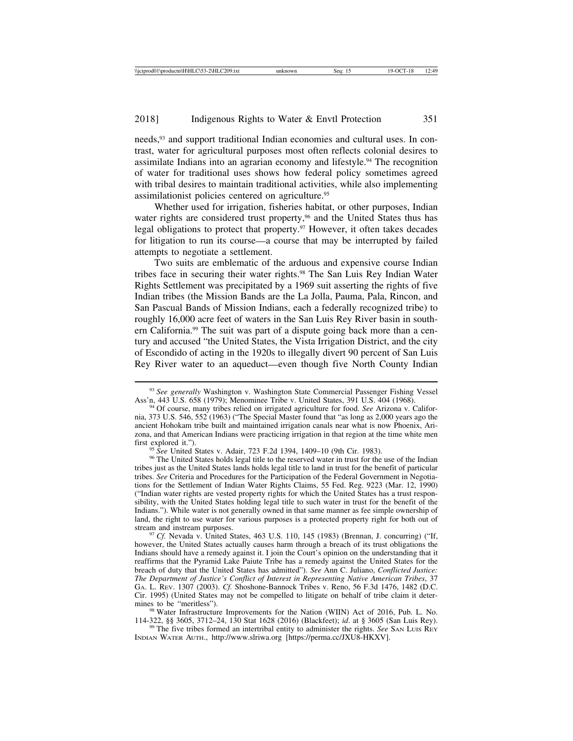needs,93 and support traditional Indian economies and cultural uses. In contrast, water for agricultural purposes most often reflects colonial desires to assimilate Indians into an agrarian economy and lifestyle.<sup>94</sup> The recognition of water for traditional uses shows how federal policy sometimes agreed with tribal desires to maintain traditional activities, while also implementing assimilationist policies centered on agriculture.95

Whether used for irrigation, fisheries habitat, or other purposes, Indian water rights are considered trust property,<sup>96</sup> and the United States thus has legal obligations to protect that property.97 However, it often takes decades for litigation to run its course—a course that may be interrupted by failed attempts to negotiate a settlement.

Two suits are emblematic of the arduous and expensive course Indian tribes face in securing their water rights.98 The San Luis Rey Indian Water Rights Settlement was precipitated by a 1969 suit asserting the rights of five Indian tribes (the Mission Bands are the La Jolla, Pauma, Pala, Rincon, and San Pascual Bands of Mission Indians, each a federally recognized tribe) to roughly 16,000 acre feet of waters in the San Luis Rey River basin in southern California.99 The suit was part of a dispute going back more than a century and accused "the United States, the Vista Irrigation District, and the city of Escondido of acting in the 1920s to illegally divert 90 percent of San Luis Rey River water to an aqueduct—even though five North County Indian

<sup>95</sup> *See* United States v. Adair, 723 F.2d 1394, 1409–10 (9th Cir. 1983). <sup>96</sup> The United States holds legal title to the reserved water in trust for the use of the Indian tribes just as the United States lands holds legal title to land in trust for the benefit of particular tribes. *See* Criteria and Procedures for the Participation of the Federal Government in Negotiations for the Settlement of Indian Water Rights Claims, 55 Fed. Reg. 9223 (Mar. 12, 1990) ("Indian water rights are vested property rights for which the United States has a trust responsibility, with the United States holding legal title to such water in trust for the benefit of the Indians."). While water is not generally owned in that same manner as fee simple ownership of land, the right to use water for various purposes is a protected property right for both out of stream and instream purposes.

<sup>97</sup> *Cf.* Nevada v. United States, 463 U.S. 110, 145 (1983) (Brennan, J. concurring) ("If, however, the United States actually causes harm through a breach of its trust obligations the Indians should have a remedy against it. I join the Court's opinion on the understanding that it reaffirms that the Pyramid Lake Paiute Tribe has a remedy against the United States for the breach of duty that the United States has admitted"). *See* Ann C. Juliano, *Conflicted Justice: The Department of Justice's Conflict of Interest in Representing Native American Tribes*, 37 GA. L. REV. 1307 (2003). *Cf.* Shoshone-Bannock Tribes v. Reno, 56 F.3d 1476, 1482 (D.C. Cir. 1995) (United States may not be compelled to litigate on behalf of tribe claim it deter-

<sup>98</sup> Water Infrastructure Improvements for the Nation (WIIN) Act of 2016, Pub. L. No. 114-322, §§ 3605, 3712–24, 130 Stat 1628 (2016) (Blackfeet); *id.* at § 3605 (San Luis Rey).

<sup>99</sup> The five tribes formed an intertribal entity to administer the rights. *See* SAN LUIS REY INDIAN WATER AUTH., http://www.slriwa.org [https://perma.cc/JXU8-HKXV].

<sup>&</sup>lt;sup>93</sup> See generally Washington v. Washington State Commercial Passenger Fishing Vessel Ass'n, 443 U.S. 658 (1979); Menominee Tribe v. United States, 391 U.S. 404 (1968).

<sup>&</sup>lt;sup>94</sup> Of course, many tribes relied on irrigated agriculture for food. *See* Arizona v. California, 373 U.S. 546, 552 (1963) ("The Special Master found that "as long as 2,000 years ago the ancient Hohokam tribe built and maintained irrigation canals near what is now Phoenix, Arizona, and that American Indians were practicing irrigation in that region at the time white men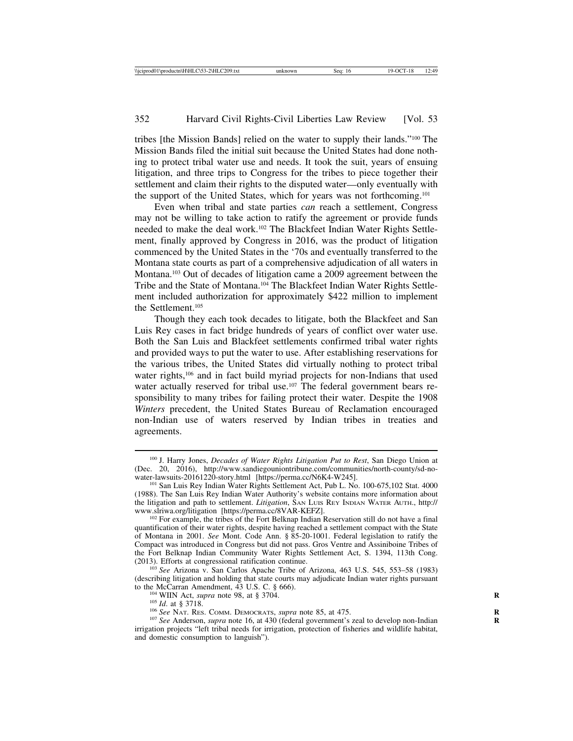tribes [the Mission Bands] relied on the water to supply their lands."100 The Mission Bands filed the initial suit because the United States had done nothing to protect tribal water use and needs. It took the suit, years of ensuing litigation, and three trips to Congress for the tribes to piece together their settlement and claim their rights to the disputed water—only eventually with the support of the United States, which for years was not forthcoming.101

Even when tribal and state parties *can* reach a settlement, Congress may not be willing to take action to ratify the agreement or provide funds needed to make the deal work.102 The Blackfeet Indian Water Rights Settlement, finally approved by Congress in 2016, was the product of litigation commenced by the United States in the '70s and eventually transferred to the Montana state courts as part of a comprehensive adjudication of all waters in Montana.103 Out of decades of litigation came a 2009 agreement between the Tribe and the State of Montana.104 The Blackfeet Indian Water Rights Settlement included authorization for approximately \$422 million to implement the Settlement.105

Though they each took decades to litigate, both the Blackfeet and San Luis Rey cases in fact bridge hundreds of years of conflict over water use. Both the San Luis and Blackfeet settlements confirmed tribal water rights and provided ways to put the water to use. After establishing reservations for the various tribes, the United States did virtually nothing to protect tribal water rights,<sup>106</sup> and in fact build myriad projects for non-Indians that used water actually reserved for tribal use.<sup>107</sup> The federal government bears responsibility to many tribes for failing protect their water. Despite the 1908 *Winters* precedent, the United States Bureau of Reclamation encouraged non-Indian use of waters reserved by Indian tribes in treaties and agreements.

<sup>100</sup> J. Harry Jones, *Decades of Water Rights Litigation Put to Rest*, San Diego Union at (Dec. 20, 2016), http://www.sandiegouniontribune.com/communities/north-county/sd-no-water-lawsuits-20161220-story.html [https://perma.cc/N6K4-W245].

<sup>&</sup>lt;sup>101</sup> San Luis Rey Indian Water Rights Settlement Act, Pub L. No. 100-675,102 Stat. 4000 (1988). The San Luis Rey Indian Water Authority's website contains more information about the litigation and path to settlement. *Litigation*, SAN LUIS REY INDIAN WATER AUTH., http://<br>www.slriwa.org/litigation [https://perma.cc/8VAR-KEFZ].

<sup>&</sup>lt;sup>102</sup> For example, the tribes of the Fort Belknap Indian Reservation still do not have a final quantification of their water rights, despite having reached a settlement compact with the State of Montana in 2001. *See* Mont. Code Ann. § 85-20-1001. Federal legislation to ratify the Compact was introduced in Congress but did not pass. Gros Ventre and Assiniboine Tribes of the Fort Belknap Indian Community Water Rights Settlement Act, S. 1394, 113th Cong.

<sup>&</sup>lt;sup>103</sup> See Arizona v. San Carlos Apache Tribe of Arizona, 463 U.S. 545, 553–58 (1983) (describing litigation and holding that state courts may adjudicate Indian water rights pursuant to the McCarran Amendment, 43 U.S. C. § 666).<br><sup>104</sup> WIIN Act, *supra* note 98, at § 3704.<br><sup>105</sup> *Id.* at § 3718.<br><sup>106</sup> *See* NAT. RES. COMM. DEMOCRATS, *supra* note 85, at 475.<br><sup>107</sup> *See* Anderson, *supra* note 16, at 43

irrigation projects "left tribal needs for irrigation, protection of fisheries and wildlife habitat, and domestic consumption to languish").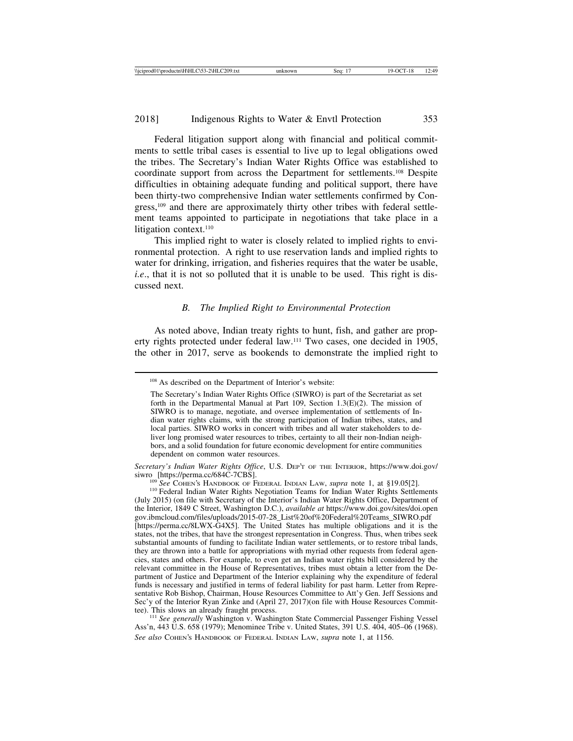Federal litigation support along with financial and political commitments to settle tribal cases is essential to live up to legal obligations owed the tribes. The Secretary's Indian Water Rights Office was established to coordinate support from across the Department for settlements.108 Despite difficulties in obtaining adequate funding and political support, there have been thirty-two comprehensive Indian water settlements confirmed by Congress,109 and there are approximately thirty other tribes with federal settlement teams appointed to participate in negotiations that take place in a litigation context.<sup>110</sup>

This implied right to water is closely related to implied rights to environmental protection. A right to use reservation lands and implied rights to water for drinking, irrigation, and fisheries requires that the water be usable, *i.e.*, that it is not so polluted that it is unable to be used. This right is discussed next.

### *B. The Implied Right to Environmental Protection*

As noted above, Indian treaty rights to hunt, fish, and gather are property rights protected under federal law.111 Two cases, one decided in 1905, the other in 2017, serve as bookends to demonstrate the implied right to

*Secretary's Indian Water Rights Office*, U.S. DEP'T OF THE INTERIOR, https://www.doi.gov/<br>siwro [https://perma.cc/684C-7CBS].

<sup>109</sup> *See* COHEN's HANDBOOK OF FEDERAL INDIAN LAW, *supra* note 1, at §19.05[2]. <sup>110</sup> Federal Indian Water Rights Settlements (July 2015) (on file with Secretary of the Interior's Indian Water Rights Office, Department of the Interior, 1849 C Street, Washington D.C.), *available at* https://www.doi.gov/sites/doi.open gov.ibmcloud.com/files/uploads/2015-07-28\_List%20of%20Federal%20Teams\_SIWRO.pdf [https://perma.cc/8LWX-G4X5]. The United States has multiple obligations and it is the states, not the tribes, that have the strongest representation in Congress. Thus, when tribes seek substantial amounts of funding to facilitate Indian water settlements, or to restore tribal lands, they are thrown into a battle for appropriations with myriad other requests from federal agencies, states and others. For example, to even get an Indian water rights bill considered by the relevant committee in the House of Representatives, tribes must obtain a letter from the Department of Justice and Department of the Interior explaining why the expenditure of federal funds is necessary and justified in terms of federal liability for past harm. Letter from Representative Rob Bishop, Chairman, House Resources Committee to Att'y Gen. Jeff Sessions and Sec'y of the Interior Ryan Zinke and (April 27, 2017)(on file with House Resources Commit-<br>tee). This slows an already fraught process.

<sup>111</sup> See generally Washington v. Washington State Commercial Passenger Fishing Vessel Ass'n, 443 U.S. 658 (1979); Menominee Tribe v. United States, 391 U.S. 404, 405–06 (1968). *See also* COHEN'S HANDBOOK OF FEDERAL INDIAN LAW, *supra* note 1, at 1156.

<sup>108</sup> As described on the Department of Interior's website:

The Secretary's Indian Water Rights Office (SIWRO) is part of the Secretariat as set forth in the Departmental Manual at Part 109, Section 1.3(E)(2). The mission of SIWRO is to manage, negotiate, and oversee implementation of settlements of Indian water rights claims, with the strong participation of Indian tribes, states, and local parties. SIWRO works in concert with tribes and all water stakeholders to deliver long promised water resources to tribes, certainty to all their non-Indian neighbors, and a solid foundation for future economic development for entire communities dependent on common water resources.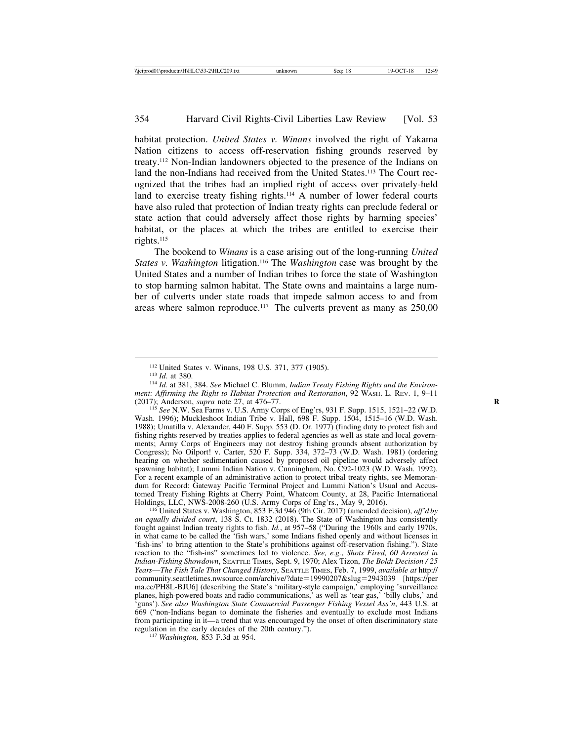habitat protection. *United States v. Winans* involved the right of Yakama Nation citizens to access off-reservation fishing grounds reserved by treaty.112 Non-Indian landowners objected to the presence of the Indians on land the non-Indians had received from the United States.<sup>113</sup> The Court recognized that the tribes had an implied right of access over privately-held land to exercise treaty fishing rights.<sup>114</sup> A number of lower federal courts have also ruled that protection of Indian treaty rights can preclude federal or state action that could adversely affect those rights by harming species' habitat, or the places at which the tribes are entitled to exercise their rights.115

The bookend to *Winans* is a case arising out of the long-running *United States v. Washington* litigation.116 The *Washington* case was brought by the United States and a number of Indian tribes to force the state of Washington to stop harming salmon habitat. The State owns and maintains a large number of culverts under state roads that impede salmon access to and from areas where salmon reproduce.<sup>117</sup> The culverts prevent as many as  $250,00$ 

<sup>115</sup> See N.W. Sea Farms v. U.S. Army Corps of Eng'rs, 931 F. Supp. 1515, 1521–22 (W.D. Wash. 1996); Muckleshoot Indian Tribe v. Hall, 698 F. Supp. 1504, 1515–16 (W.D. Wash. 1988); Umatilla v. Alexander, 440 F. Supp. 553 (D. Or. 1977) (finding duty to protect fish and fishing rights reserved by treaties applies to federal agencies as well as state and local governments; Army Corps of Engineers may not destroy fishing grounds absent authorization by Congress); No Oilport! v. Carter, 520 F. Supp. 334, 372–73 (W.D. Wash. 1981) (ordering hearing on whether sedimentation caused by proposed oil pipeline would adversely affect spawning habitat); Lummi Indian Nation v. Cunningham, No. C92-1023 (W.D. Wash. 1992). For a recent example of an administrative action to protect tribal treaty rights, see Memorandum for Record: Gateway Pacific Terminal Project and Lummi Nation's Usual and Accustomed Treaty Fishing Rights at Cherry Point, Whatcom County, at 28, Pacific International Holdings, LLC, NWS-2008-260 (U.S. Army Corps of Eng'rs., May 9, 2016).

<sup>116</sup> United States v. Washington, 853 F.3d 946 (9th Cir. 2017) (amended decision), *aff'd by an equally divided court*, 138 S. Ct. 1832 (2018). The State of Washington has consistently fought against Indian treaty rights to fish. *Id.*, at 957–58 ("During the 1960s and early 1970s, in what came to be called the 'fish wars,' some Indians fished openly and without licenses in 'fish-ins' to bring attention to the State's prohibitions against off-reservation fishing."). State reaction to the "fish-ins" sometimes led to violence. *See, e.g.*, *Shots Fired, 60 Arrested in Indian-Fishing Showdown*, SEATTLE TIMES, Sept. 9, 1970; Alex Tizon, *The Boldt Decision / 25 Years*—*The Fish Tale That Changed History*, SEATTLE TIMES, Feb. 7, 1999, *available at* http:// community.seattletimes.nwsource.com/archive/?date=19990207&slug=2943039 [https://per ma.cc/PH8L-BJU6] (describing the State's 'military-style campaign,' employing 'surveillance planes, high-powered boats and radio communications,' as well as 'tear gas,' 'billy clubs,' and 'guns'). *See also Washington State Commercial Passenger Fishing Vessel Ass'n*, 443 U.S. at 669 ("non-Indians began to dominate the fisheries and eventually to exclude most Indians from participating in it—a trend that was encouraged by the onset of often discriminatory state regulation in the early decades of the 20th century."). <sup>117</sup> *Washington,* 853 F.3d at 954.

<sup>112</sup> United States v. Winans, 198 U.S. 371, 377 (1905). <sup>113</sup> *Id*. at 380. <sup>114</sup> *Id.* at 381, 384. *See* Michael C. Blumm, *Indian Treaty Fishing Rights and the Environment: Affirming the Right to Habitat Protection and Restoration*, 92 WASH. L. REV. 1, 9–11 (2017); Anderson, *supra* note 27, at 476–77.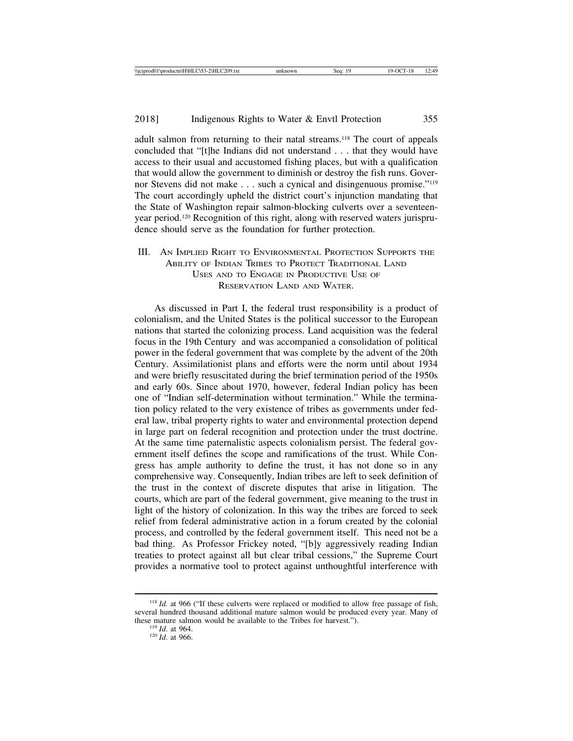adult salmon from returning to their natal streams.<sup>118</sup> The court of appeals concluded that "[t]he Indians did not understand . . . that they would have access to their usual and accustomed fishing places, but with a qualification that would allow the government to diminish or destroy the fish runs. Governor Stevens did not make . . . such a cynical and disingenuous promise."119 The court accordingly upheld the district court's injunction mandating that the State of Washington repair salmon-blocking culverts over a seventeenyear period.120 Recognition of this right, along with reserved waters jurisprudence should serve as the foundation for further protection.

## III. AN IMPLIED RIGHT TO ENVIRONMENTAL PROTECTION SUPPORTS THE ABILITY OF INDIAN TRIBES TO PROTECT TRADITIONAL LAND USES AND TO ENGAGE IN PRODUCTIVE USE OF RESERVATION LAND AND WATER.

As discussed in Part I, the federal trust responsibility is a product of colonialism, and the United States is the political successor to the European nations that started the colonizing process. Land acquisition was the federal focus in the 19th Century and was accompanied a consolidation of political power in the federal government that was complete by the advent of the 20th Century. Assimilationist plans and efforts were the norm until about 1934 and were briefly resuscitated during the brief termination period of the 1950s and early 60s. Since about 1970, however, federal Indian policy has been one of "Indian self-determination without termination." While the termination policy related to the very existence of tribes as governments under federal law, tribal property rights to water and environmental protection depend in large part on federal recognition and protection under the trust doctrine. At the same time paternalistic aspects colonialism persist. The federal government itself defines the scope and ramifications of the trust. While Congress has ample authority to define the trust, it has not done so in any comprehensive way. Consequently, Indian tribes are left to seek definition of the trust in the context of discrete disputes that arise in litigation. The courts, which are part of the federal government, give meaning to the trust in light of the history of colonization. In this way the tribes are forced to seek relief from federal administrative action in a forum created by the colonial process, and controlled by the federal government itself. This need not be a bad thing. As Professor Frickey noted, "[b]y aggressively reading Indian treaties to protect against all but clear tribal cessions," the Supreme Court provides a normative tool to protect against unthoughtful interference with

<sup>&</sup>lt;sup>118</sup> *Id.* at 966 ("If these culverts were replaced or modified to allow free passage of fish, several hundred thousand additional mature salmon would be produced every year. Many of these mature salmon would be available to the Tribes for harvest."). <sup>119</sup> *Id*. at 966. <sup>120</sup> *Id*. at 966.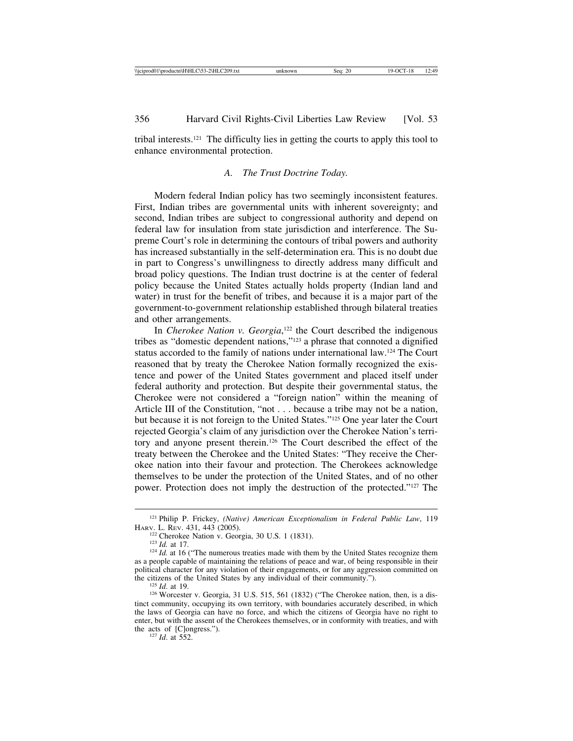tribal interests.121 The difficulty lies in getting the courts to apply this tool to enhance environmental protection.

## *A. The Trust Doctrine Today.*

Modern federal Indian policy has two seemingly inconsistent features. First, Indian tribes are governmental units with inherent sovereignty; and second, Indian tribes are subject to congressional authority and depend on federal law for insulation from state jurisdiction and interference. The Supreme Court's role in determining the contours of tribal powers and authority has increased substantially in the self-determination era. This is no doubt due in part to Congress's unwillingness to directly address many difficult and broad policy questions. The Indian trust doctrine is at the center of federal policy because the United States actually holds property (Indian land and water) in trust for the benefit of tribes, and because it is a major part of the government-to-government relationship established through bilateral treaties and other arrangements.

In *Cherokee Nation v. Georgia*,<sup>122</sup> the Court described the indigenous tribes as "domestic dependent nations,"123 a phrase that connoted a dignified status accorded to the family of nations under international law.124 The Court reasoned that by treaty the Cherokee Nation formally recognized the existence and power of the United States government and placed itself under federal authority and protection. But despite their governmental status, the Cherokee were not considered a "foreign nation" within the meaning of Article III of the Constitution, "not . . . because a tribe may not be a nation, but because it is not foreign to the United States."125 One year later the Court rejected Georgia's claim of any jurisdiction over the Cherokee Nation's territory and anyone present therein.126 The Court described the effect of the treaty between the Cherokee and the United States: "They receive the Cherokee nation into their favour and protection. The Cherokees acknowledge themselves to be under the protection of the United States, and of no other power. Protection does not imply the destruction of the protected."127 The

<sup>&</sup>lt;sup>121</sup> Philip P. Frickey, *(Native) American Exceptionalism in Federal Public Law*, 119 HARV. L. REV. 431, 443 (2005).

<sup>&</sup>lt;sup>122</sup> Cherokee Nation v. Georgia, 30 U.S. 1 (1831).<br><sup>123</sup> *Id.* at 17.<br><sup>124</sup> *Id.* at 16 ("The numerous treaties made with them by the United States recognize them as a people capable of maintaining the relations of peace and war, of being responsible in their political character for any violation of their engagements, or for any aggression committed on the citizens of the United States by any individual of their community.").

<sup>&</sup>lt;sup>125</sup> *Id.* at 19.<br><sup>126</sup> Worcester v. Georgia, 31 U.S. 515, 561 (1832) ("The Cherokee nation, then, is a distinct community, occupying its own territory, with boundaries accurately described, in which the laws of Georgia can have no force, and which the citizens of Georgia have no right to enter, but with the assent of the Cherokees themselves, or in conformity with treaties, and with the acts of [C]ongress.").<br> $^{127}$  *Id.* at 552.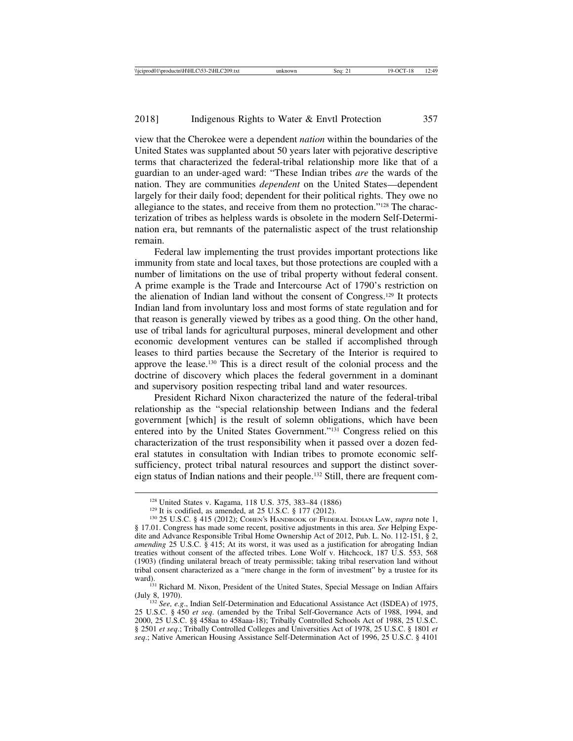view that the Cherokee were a dependent *nation* within the boundaries of the United States was supplanted about 50 years later with pejorative descriptive terms that characterized the federal-tribal relationship more like that of a guardian to an under-aged ward: "These Indian tribes *are* the wards of the nation. They are communities *dependent* on the United States—dependent largely for their daily food; dependent for their political rights. They owe no allegiance to the states, and receive from them no protection."128 The characterization of tribes as helpless wards is obsolete in the modern Self-Determination era, but remnants of the paternalistic aspect of the trust relationship remain.

Federal law implementing the trust provides important protections like immunity from state and local taxes, but those protections are coupled with a number of limitations on the use of tribal property without federal consent. A prime example is the Trade and Intercourse Act of 1790's restriction on the alienation of Indian land without the consent of Congress.129 It protects Indian land from involuntary loss and most forms of state regulation and for that reason is generally viewed by tribes as a good thing. On the other hand, use of tribal lands for agricultural purposes, mineral development and other economic development ventures can be stalled if accomplished through leases to third parties because the Secretary of the Interior is required to approve the lease.130 This is a direct result of the colonial process and the doctrine of discovery which places the federal government in a dominant and supervisory position respecting tribal land and water resources.

President Richard Nixon characterized the nature of the federal-tribal relationship as the "special relationship between Indians and the federal government [which] is the result of solemn obligations, which have been entered into by the United States Government."131 Congress relied on this characterization of the trust responsibility when it passed over a dozen federal statutes in consultation with Indian tribes to promote economic selfsufficiency, protect tribal natural resources and support the distinct sovereign status of Indian nations and their people.132 Still, there are frequent com-

(July 8, 1970). <sup>132</sup> *See, e.g*., Indian Self-Determination and Educational Assistance Act (ISDEA) of 1975,

25 U.S.C. § 450 *et seq*. (amended by the Tribal Self-Governance Acts of 1988, 1994, and 2000, 25 U.S.C. §§ 458aa to 458aaa-18); Tribally Controlled Schools Act of 1988, 25 U.S.C. § 2501 *et seq*.; Tribally Controlled Colleges and Universities Act of 1978, 25 U.S.C. § 1801 *et seq*.; Native American Housing Assistance Self-Determination Act of 1996, 25 U.S.C. § 4101

<sup>&</sup>lt;sup>128</sup> United States v. Kagama, 118 U.S. 375, 383–84 (1886)<br><sup>129</sup> It is codified, as amended, at 25 U.S.C. § 177 (2012).<br><sup>130</sup> 25 U.S.C. § 415 (2012); COHEN's HANDBOOK OF FEDERAL INDIAN LAW, *supra* note 1, § 17.01. Congress has made some recent, positive adjustments in this area. *See* Helping Expedite and Advance Responsible Tribal Home Ownership Act of 2012, Pub. L. No. 112-151, § 2, *amending* 25 U.S.C. § 415; At its worst, it was used as a justification for abrogating Indian treaties without consent of the affected tribes. Lone Wolf v. Hitchcock, 187 U.S. 553, 568 (1903) (finding unilateral breach of treaty permissible; taking tribal reservation land without tribal consent characterized as a "mere change in the form of investment" by a trustee for its ward).<br><sup>131</sup> Richard M. Nixon, President of the United States, Special Message on Indian Affairs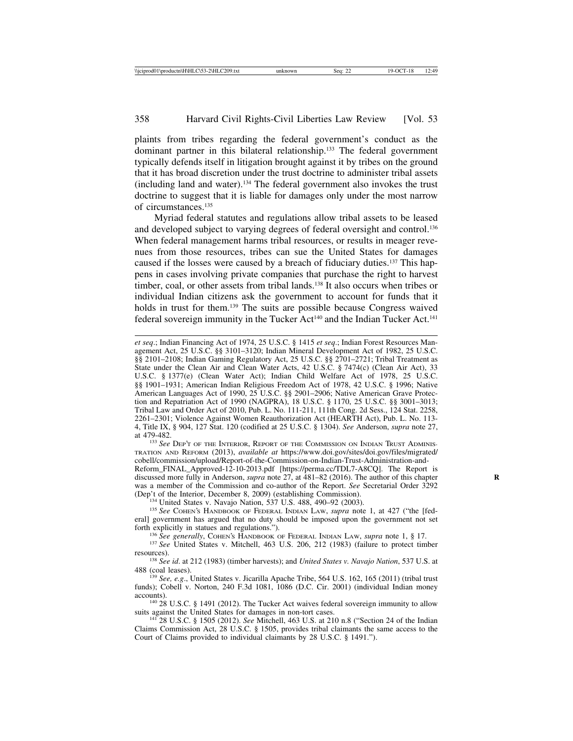plaints from tribes regarding the federal government's conduct as the dominant partner in this bilateral relationship.<sup>133</sup> The federal government typically defends itself in litigation brought against it by tribes on the ground that it has broad discretion under the trust doctrine to administer tribal assets (including land and water).134 The federal government also invokes the trust doctrine to suggest that it is liable for damages only under the most narrow of circumstances.135

Myriad federal statutes and regulations allow tribal assets to be leased and developed subject to varying degrees of federal oversight and control.<sup>136</sup> When federal management harms tribal resources, or results in meager revenues from those resources, tribes can sue the United States for damages caused if the losses were caused by a breach of fiduciary duties.137 This happens in cases involving private companies that purchase the right to harvest timber, coal, or other assets from tribal lands.<sup>138</sup> It also occurs when tribes or individual Indian citizens ask the government to account for funds that it holds in trust for them.139 The suits are possible because Congress waived federal sovereign immunity in the Tucker Act<sup>140</sup> and the Indian Tucker Act.<sup>141</sup>

*et seq*.; Indian Financing Act of 1974, 25 U.S.C. § 1415 *et seq*.; Indian Forest Resources Management Act, 25 U.S.C. §§ 3101–3120; Indian Mineral Development Act of 1982, 25 U.S.C. §§ 2101-2108; Indian Gaming Regulatory Act, 25 U.S.C. §§ 2701-2721; Tribal Treatment as State under the Clean Air and Clean Water Acts, 42 U.S.C. § 7474(c) (Clean Air Act), 33 U.S.C. § 1377(e) (Clean Water Act); Indian Child Welfare Act of 1978, 25 U.S.C. §§ 1901–1931; American Indian Religious Freedom Act of 1978, 42 U.S.C. § 1996; Native American Languages Act of 1990, 25 U.S.C. §§ 2901–2906; Native American Grave Protection and Repatriation Act of 1990 (NAGPRA), 18 U.S.C. § 1170, 25 U.S.C. §§ 3001–3013; Tribal Law and Order Act of 2010, Pub. L. No. 111-211, 111th Cong. 2d Sess., 124 Stat. 2258, 2261–2301; Violence Against Women Reauthorization Act (HEARTH Act), Pub. L. No. 113- 4, Title IX, § 904, 127 Stat. 120 (codified at 25 U.S.C. § 1304). *See* Anderson, *supra* note 27, at 479-482. <sup>133</sup> *See* DEP'T OF THE INTERIOR, REPORT OF THE COMMISSION ON INDIAN TRUST ADMINIS-

TRATION AND REFORM (2013), *available at* https://www.doi.gov/sites/doi.gov/files/migrated/ cobell/commission/upload/Report-of-the-Commission-on-Indian-Trust-Administration-and-

Reform\_FINAL\_Approved-12-10-2013.pdf [https://perma.cc/TDL7-A8CQ]. The Report is discussed more fully in Anderson, *supra* note 27, at 481–82 (2016). The author of this chapter **R** was a member of the Commission and co-author of the Report. *See* Secretarial Order 3292 (Dep't of the Interior, December 8, 2009) (establishing Commission).<br><sup>134</sup> United States v. Navajo Nation, 537 U.S. 488, 490–92 (2003).<br><sup>135</sup> See COHEN's HANDBOOK OF FEDERAL INDIAN LAW, *supra* note 1, at 427 ("the [fed-

eral] government has argued that no duty should be imposed upon the government not set forth explicitly in statues and regulations.").

<sup>136</sup> See generally, COHEN'S HANDBOOK OF FEDERAL INDIAN LAW, *supra* note 1, § 17.<br><sup>137</sup> See United States v. Mitchell, 463 U.S. 206, 212 (1983) (failure to protect timber

resources). <sup>138</sup> *See id*. at 212 (1983) (timber harvests); and *United States v. Navajo Nation*, 537 U.S. at

488 (coal leases). <sup>139</sup> *See, e.g*., United States v. Jicarilla Apache Tribe, 564 U.S. 162, 165 (2011) (tribal trust

funds); Cobell v. Norton, 240 F.3d 1081, 1086 (D.C. Cir. 2001) (individual Indian money accounts).<br><sup>140</sup> 28 U.S.C. § 1491 (2012). The Tucker Act waives federal sovereign immunity to allow

suits against the United States for damages in non-tort cases. <sup>141</sup> 28 U.S.C. § 1505 (2012). *See* Mitchell, 463 U.S. at 210 n.8 ("Section 24 of the Indian

Claims Commission Act, 28 U.S.C. § 1505, provides tribal claimants the same access to the Court of Claims provided to individual claimants by 28 U.S.C. § 1491.").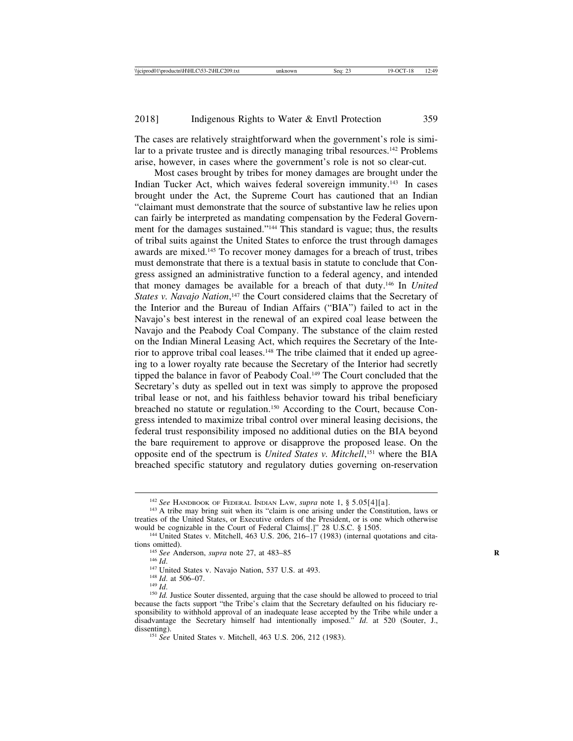The cases are relatively straightforward when the government's role is similar to a private trustee and is directly managing tribal resources.<sup>142</sup> Problems arise, however, in cases where the government's role is not so clear-cut.

Most cases brought by tribes for money damages are brought under the Indian Tucker Act, which waives federal sovereign immunity.143 In cases brought under the Act, the Supreme Court has cautioned that an Indian "claimant must demonstrate that the source of substantive law he relies upon can fairly be interpreted as mandating compensation by the Federal Government for the damages sustained."144 This standard is vague; thus, the results of tribal suits against the United States to enforce the trust through damages awards are mixed.145 To recover money damages for a breach of trust, tribes must demonstrate that there is a textual basis in statute to conclude that Congress assigned an administrative function to a federal agency, and intended that money damages be available for a breach of that duty.146 In *United* States v. Navajo Nation,<sup>147</sup> the Court considered claims that the Secretary of the Interior and the Bureau of Indian Affairs ("BIA") failed to act in the Navajo's best interest in the renewal of an expired coal lease between the Navajo and the Peabody Coal Company. The substance of the claim rested on the Indian Mineral Leasing Act, which requires the Secretary of the Interior to approve tribal coal leases.<sup>148</sup> The tribe claimed that it ended up agreeing to a lower royalty rate because the Secretary of the Interior had secretly tipped the balance in favor of Peabody Coal.<sup>149</sup> The Court concluded that the Secretary's duty as spelled out in text was simply to approve the proposed tribal lease or not, and his faithless behavior toward his tribal beneficiary breached no statute or regulation.150 According to the Court, because Congress intended to maximize tribal control over mineral leasing decisions, the federal trust responsibility imposed no additional duties on the BIA beyond the bare requirement to approve or disapprove the proposed lease. On the opposite end of the spectrum is *United States v. Mitchell*, 151 where the BIA breached specific statutory and regulatory duties governing on-reservation

<sup>&</sup>lt;sup>142</sup> *See* HANDBOOK OF FEDERAL INDIAN LAW, *supra* note 1, § 5.05[4][a].<br><sup>143</sup> A tribe may bring suit when its "claim is one arising under the Constitution, laws or treaties of the United States, or Executive orders of the President, or is one which otherwise would be cognizable in the Court of Federal Claims[.]" 28 U.S.C. § 1505.<br><sup>144</sup> United States v. Mitchell, 463 U.S. 206, 216–17 (1983) (internal quotations and cita-

tions omitted).<br>
<sup>145</sup> *See* Anderson, *supra* note 27, at 483–85<br>
<sup>146</sup> *Id.*<br>
<sup>147</sup> United States v. Navajo Nation, 537 U.S. at 493.<br>
<sup>148</sup> *Id.*<br>
<sup>148</sup> *Id.*<br>
<sup>148</sup> *Id.*<br>
<sup>149</sup> *Id.*<br>
<sup>150</sup> *Id.* Justice Souter dissen

because the facts support "the Tribe's claim that the Secretary defaulted on his fiduciary responsibility to withhold approval of an inadequate lease accepted by the Tribe while under a disadvantage the Secretary himself had intentionally imposed." *Id*. at 520 (Souter, J., dissenting). <sup>151</sup> *See* United States v. Mitchell, 463 U.S. 206, 212 (1983).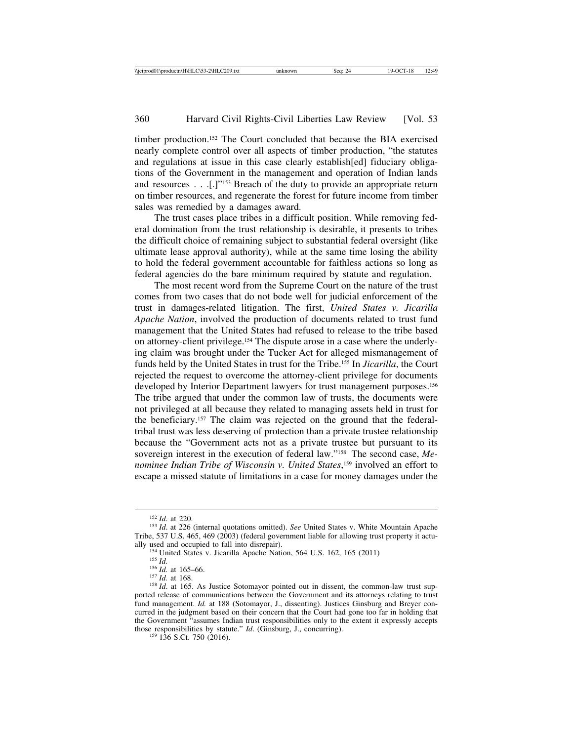timber production.152 The Court concluded that because the BIA exercised nearly complete control over all aspects of timber production, "the statutes and regulations at issue in this case clearly establish[ed] fiduciary obligations of the Government in the management and operation of Indian lands and resources . . .[.]"153 Breach of the duty to provide an appropriate return on timber resources, and regenerate the forest for future income from timber sales was remedied by a damages award.

The trust cases place tribes in a difficult position. While removing federal domination from the trust relationship is desirable, it presents to tribes the difficult choice of remaining subject to substantial federal oversight (like ultimate lease approval authority), while at the same time losing the ability to hold the federal government accountable for faithless actions so long as federal agencies do the bare minimum required by statute and regulation.

The most recent word from the Supreme Court on the nature of the trust comes from two cases that do not bode well for judicial enforcement of the trust in damages-related litigation. The first, *United States v. Jicarilla Apache Nation*, involved the production of documents related to trust fund management that the United States had refused to release to the tribe based on attorney-client privilege.154 The dispute arose in a case where the underlying claim was brought under the Tucker Act for alleged mismanagement of funds held by the United States in trust for the Tribe.155 In *Jicarilla*, the Court rejected the request to overcome the attorney-client privilege for documents developed by Interior Department lawyers for trust management purposes.<sup>156</sup> The tribe argued that under the common law of trusts, the documents were not privileged at all because they related to managing assets held in trust for the beneficiary.157 The claim was rejected on the ground that the federaltribal trust was less deserving of protection than a private trustee relationship because the "Government acts not as a private trustee but pursuant to its sovereign interest in the execution of federal law."158 The second case, *Menominee Indian Tribe of Wisconsin v. United States*, 159 involved an effort to escape a missed statute of limitations in a case for money damages under the

<sup>&</sup>lt;sup>152</sup> *Id.* at 220. 153 *Id.* at 226 (internal quotations omitted). *See* United States v. White Mountain Apache Tribe, 537 U.S. 465, 469 (2003) (federal government liable for allowing trust property it actually used and occupied to fall into disrepair).

<sup>&</sup>lt;sup>154</sup> United States v. Jicarilla Apache Nation, 564 U.S. 162, 165 (2011)<br><sup>155</sup> *Id.* at 165–66.<br><sup>156</sup> *Id.* at 168.<br><sup>157</sup> *Id.* at 168. As Justice Sotomayor pointed out in dissent, the common-law trust sup-<br><sup>158</sup> *Id.* at ported release of communications between the Government and its attorneys relating to trust fund management. *Id.* at 188 (Sotomayor, J., dissenting). Justices Ginsburg and Breyer concurred in the judgment based on their concern that the Court had gone too far in holding that the Government "assumes Indian trust responsibilities only to the extent it expressly accepts those responsibilities by statute." *Id.* (Ginsburg, J., concurring). <sup>159</sup> 136 S.Ct. 750 (2016).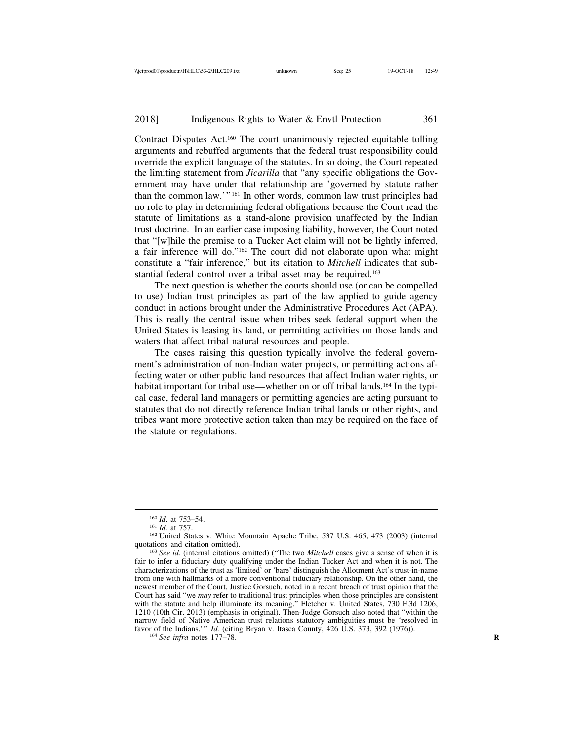Contract Disputes Act.160 The court unanimously rejected equitable tolling arguments and rebuffed arguments that the federal trust responsibility could override the explicit language of the statutes. In so doing, the Court repeated the limiting statement from *Jicarilla* that "any specific obligations the Government may have under that relationship are 'governed by statute rather than the common law.'" 161 In other words, common law trust principles had no role to play in determining federal obligations because the Court read the statute of limitations as a stand-alone provision unaffected by the Indian trust doctrine. In an earlier case imposing liability, however, the Court noted that "[w]hile the premise to a Tucker Act claim will not be lightly inferred, a fair inference will do."162 The court did not elaborate upon what might constitute a "fair inference," but its citation to *Mitchell* indicates that substantial federal control over a tribal asset may be required.163

The next question is whether the courts should use (or can be compelled to use) Indian trust principles as part of the law applied to guide agency conduct in actions brought under the Administrative Procedures Act (APA). This is really the central issue when tribes seek federal support when the United States is leasing its land, or permitting activities on those lands and waters that affect tribal natural resources and people.

The cases raising this question typically involve the federal government's administration of non-Indian water projects, or permitting actions affecting water or other public land resources that affect Indian water rights, or habitat important for tribal use—whether on or off tribal lands.<sup>164</sup> In the typical case, federal land managers or permitting agencies are acting pursuant to statutes that do not directly reference Indian tribal lands or other rights, and tribes want more protective action taken than may be required on the face of the statute or regulations.

<sup>&</sup>lt;sup>160</sup> *Id.* at 753–54.<br><sup>161</sup> *Id.* at 757.<br><sup>162</sup> United States v. White Mountain Apache Tribe, 537 U.S. 465, 473 (2003) (internal quotations and citation omitted). <sup>163</sup> *See id.* (internal citations omitted) ("The two *Mitchell* cases give a sense of when it is

fair to infer a fiduciary duty qualifying under the Indian Tucker Act and when it is not. The characterizations of the trust as 'limited' or 'bare' distinguish the Allotment Act's trust-in-name from one with hallmarks of a more conventional fiduciary relationship. On the other hand, the newest member of the Court, Justice Gorsuch, noted in a recent breach of trust opinion that the Court has said "we *may* refer to traditional trust principles when those principles are consistent with the statute and help illuminate its meaning." Fletcher v. United States, 730 F.3d 1206, 1210 (10th Cir. 2013) (emphasis in original). Then-Judge Gorsuch also noted that "within the narrow field of Native American trust relations statutory ambiguities must be 'resolved in favor of the Indians.'" *Id.* (citing Bryan v. Itasca County, 426 U.S. 373, 392 (1976)). <sup>164</sup> *See infra* notes 177–78.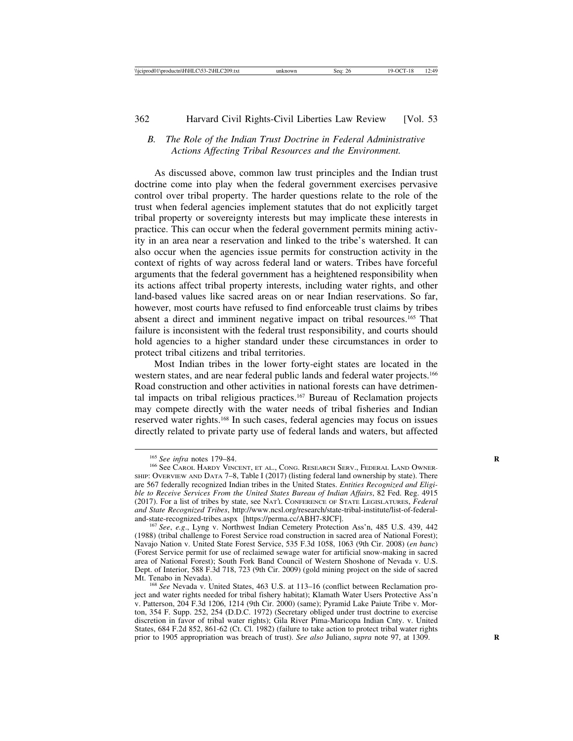## *B. The Role of the Indian Trust Doctrine in Federal Administrative Actions Affecting Tribal Resources and the Environment.*

As discussed above, common law trust principles and the Indian trust doctrine come into play when the federal government exercises pervasive control over tribal property. The harder questions relate to the role of the trust when federal agencies implement statutes that do not explicitly target tribal property or sovereignty interests but may implicate these interests in practice. This can occur when the federal government permits mining activity in an area near a reservation and linked to the tribe's watershed. It can also occur when the agencies issue permits for construction activity in the context of rights of way across federal land or waters. Tribes have forceful arguments that the federal government has a heightened responsibility when its actions affect tribal property interests, including water rights, and other land-based values like sacred areas on or near Indian reservations. So far, however, most courts have refused to find enforceable trust claims by tribes absent a direct and imminent negative impact on tribal resources.165 That failure is inconsistent with the federal trust responsibility, and courts should hold agencies to a higher standard under these circumstances in order to protect tribal citizens and tribal territories.

Most Indian tribes in the lower forty-eight states are located in the western states, and are near federal public lands and federal water projects.<sup>166</sup> Road construction and other activities in national forests can have detrimental impacts on tribal religious practices.167 Bureau of Reclamation projects may compete directly with the water needs of tribal fisheries and Indian reserved water rights.168 In such cases, federal agencies may focus on issues directly related to private party use of federal lands and waters, but affected

<sup>&</sup>lt;sup>165</sup> See infra notes 179–84.<br><sup>166</sup> See Carol Hardy Vincent, et al., Cong. Research Serv., Federal Land Owner-SHIP: OVERVIEW AND DATA 7–8, Table I (2017) (listing federal land ownership by state). There are 567 federally recognized Indian tribes in the United States. *Entities Recognized and Eligible to Receive Services From the United States Bureau of Indian Affairs*, 82 Fed. Reg. 4915 (2017). For a list of tribes by state, see NAT'L CONFERENCE OF STATE LEGISLATURES, *Federal and State Recognized Tribes*, http://www.ncsl.org/research/state-tribal-institute/list-of-federal-

<sup>&</sup>lt;sup>167</sup> See, e.g., Lyng v. Northwest Indian Cemetery Protection Ass'n, 485 U.S. 439, 442 (1988) (tribal challenge to Forest Service road construction in sacred area of National Forest); Navajo Nation v. United State Forest Service, 535 F.3d 1058, 1063 (9th Cir. 2008) (*en banc*) (Forest Service permit for use of reclaimed sewage water for artificial snow-making in sacred area of National Forest); South Fork Band Council of Western Shoshone of Nevada v. U.S. Dept. of Interior, 588 F.3d 718, 723 (9th Cir. 2009) (gold mining project on the side of sacred

<sup>&</sup>lt;sup>168</sup> See Nevada v. United States, 463 U.S. at 113–16 (conflict between Reclamation project and water rights needed for tribal fishery habitat); Klamath Water Users Protective Ass'n v. Patterson, 204 F.3d 1206, 1214 (9th Cir. 2000) (same); Pyramid Lake Paiute Tribe v. Morton, 354 F. Supp. 252, 254 (D.D.C. 1972) (Secretary obliged under trust doctrine to exercise discretion in favor of tribal water rights); Gila River Pima-Maricopa Indian Cnty. v. United States, 684 F.2d 852, 861-62 (Ct. Cl. 1982) (failure to take action to protect tribal water rights prior to 1905 appropriation was breach of trust). *See also* Juliano, *supra* note 97, at 1309. **R**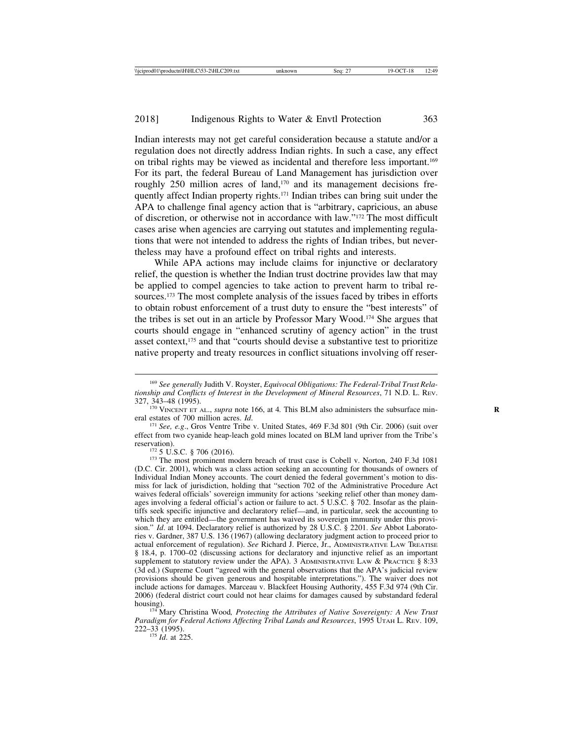Indian interests may not get careful consideration because a statute and/or a regulation does not directly address Indian rights. In such a case, any effect on tribal rights may be viewed as incidental and therefore less important.169 For its part, the federal Bureau of Land Management has jurisdiction over roughly 250 million acres of land,<sup>170</sup> and its management decisions frequently affect Indian property rights.171 Indian tribes can bring suit under the APA to challenge final agency action that is "arbitrary, capricious, an abuse of discretion, or otherwise not in accordance with law."172 The most difficult cases arise when agencies are carrying out statutes and implementing regulations that were not intended to address the rights of Indian tribes, but nevertheless may have a profound effect on tribal rights and interests.

While APA actions may include claims for injunctive or declaratory relief, the question is whether the Indian trust doctrine provides law that may be applied to compel agencies to take action to prevent harm to tribal resources.173 The most complete analysis of the issues faced by tribes in efforts to obtain robust enforcement of a trust duty to ensure the "best interests" of the tribes is set out in an article by Professor Mary Wood.174 She argues that courts should engage in "enhanced scrutiny of agency action" in the trust asset context,<sup>175</sup> and that "courts should devise a substantive test to prioritize native property and treaty resources in conflict situations involving off reser-

<sup>171</sup> See, e.g., Gros Ventre Tribe v. United States, 469 F.3d 801 (9th Cir. 2006) (suit over effect from two cyanide heap-leach gold mines located on BLM land upriver from the Tribe's reservation).<br><sup>172</sup> 5 U.S.C. § 706 (2016).<br><sup>173</sup> The most prominent modern breach of trust case is Cobell v. Norton, 240 F.3d 1081

<sup>174</sup> Mary Christina Wood, Protecting the Attributes of Native Sovereignty: A New Trust *Paradigm for Federal Actions Affecting Tribal Lands and Resources*, 1995 UTAH L. REV. 109, 222–33 (1995).

<sup>175</sup> *Id*. at 225.

<sup>169</sup> *See generally* Judith V. Royster, *Equivocal Obligations: The Federal-Tribal Trust Relationship and Conflicts of Interest in the Development of Mineral Resources*, 71 N.D. L. REV.

<sup>&</sup>lt;sup>170</sup> VINCENT ET AL., *supra* note 166, at 4. This BLM also administers the subsurface min- eral estates of 700 million acres. *Id*.

<sup>(</sup>D.C. Cir. 2001), which was a class action seeking an accounting for thousands of owners of Individual Indian Money accounts. The court denied the federal government's motion to dismiss for lack of jurisdiction, holding that "section 702 of the Administrative Procedure Act waives federal officials' sovereign immunity for actions 'seeking relief other than money damages involving a federal official's action or failure to act. 5 U.S.C. § 702. Insofar as the plaintiffs seek specific injunctive and declaratory relief—and, in particular, seek the accounting to which they are entitled—the government has waived its sovereign immunity under this provision." *Id*. at 1094. Declaratory relief is authorized by 28 U.S.C. § 2201. *See* Abbot Laboratories v. Gardner, 387 U.S. 136 (1967) (allowing declaratory judgment action to proceed prior to actual enforcement of regulation). *See* Richard J. Pierce, Jr., ADMINISTRATIVE LAW TREATISE § 18.4, p. 1700–02 (discussing actions for declaratory and injunctive relief as an important supplement to statutory review under the APA). 3 ADMINISTRATIVE LAW & PRACTICE § 8:33 (3d ed.) (Supreme Court "agreed with the general observations that the APA's judicial review provisions should be given generous and hospitable interpretations."). The waiver does not include actions for damages. Marceau v. Blackfeet Housing Authority, 455 F.3d 974 (9th Cir. 2006) (federal district court could not hear claims for damages caused by substandard federal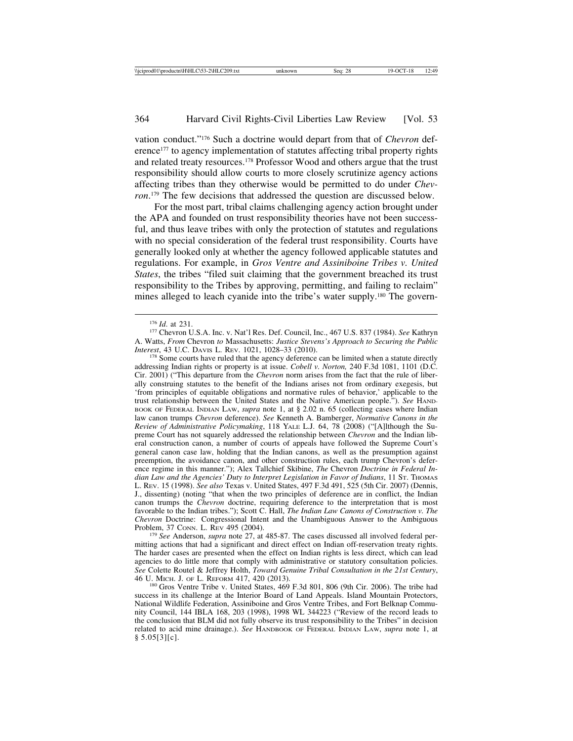vation conduct."176 Such a doctrine would depart from that of *Chevron* deference<sup>177</sup> to agency implementation of statutes affecting tribal property rights and related treaty resources.178 Professor Wood and others argue that the trust responsibility should allow courts to more closely scrutinize agency actions affecting tribes than they otherwise would be permitted to do under *Chevron*. 179 The few decisions that addressed the question are discussed below.

For the most part, tribal claims challenging agency action brought under the APA and founded on trust responsibility theories have not been successful, and thus leave tribes with only the protection of statutes and regulations with no special consideration of the federal trust responsibility. Courts have generally looked only at whether the agency followed applicable statutes and regulations. For example, in *Gros Ventre and Assiniboine Tribes v. United States*, the tribes "filed suit claiming that the government breached its trust responsibility to the Tribes by approving, permitting, and failing to reclaim" mines alleged to leach cyanide into the tribe's water supply.180 The govern-

<sup>178</sup> Some courts have ruled that the agency deference can be limited when a statute directly addressing Indian rights or property is at issue. *Cobell v. Norton,* 240 F.3d 1081, 1101 (D.C. Cir. 2001) ("This departure from the *Chevron* norm arises from the fact that the rule of liberally construing statutes to the benefit of the Indians arises not from ordinary exegesis, but 'from principles of equitable obligations and normative rules of behavior,' applicable to the trust relationship between the United States and the Native American people."). *See* HAND-BOOK OF FEDERAL INDIAN LAW, *supra* note 1, at § 2.02 n. 65 (collecting cases where Indian law canon trumps *Chevron* deference). *See* Kenneth A. Bamberger, *Normative Canons in the Review of Administrative Policymaking*, 118 YALE L.J. 64, 78 (2008) ("[A]lthough the Supreme Court has not squarely addressed the relationship between *Chevron* and the Indian liberal construction canon, a number of courts of appeals have followed the Supreme Court's general canon case law, holding that the Indian canons, as well as the presumption against preemption, the avoidance canon, and other construction rules, each trump Chevron's deference regime in this manner."); Alex Tallchief Skibine, *The* Chevron *Doctrine in Federal Indian Law and the Agencies' Duty to Interpret Legislation in Favor of Indians*, 11 ST. THOMAS L. REV. 15 (1998). *See also* Texas v. United States, 497 F.3d 491, 525 (5th Cir. 2007) (Dennis, J., dissenting) (noting "that when the two principles of deference are in conflict, the Indian canon trumps the *Chevron* doctrine, requiring deference to the interpretation that is most favorable to the Indian tribes."); Scott C. Hall, *The Indian Law Canons of Construction v. The Chevron* Doctrine: Congressional Intent and the Unambiguous Answer to the Ambiguous

<sup>179</sup> See Anderson, *supra* note 27, at 485-87. The cases discussed all involved federal permitting actions that had a significant and direct effect on Indian off-reservation treaty rights. The harder cases are presented when the effect on Indian rights is less direct, which can lead agencies to do little more that comply with administrative or statutory consultation policies. *See* Colette Routel & Jeffrey Holth, *Toward Genuine Tribal Consultation in the 21st Century*,

<sup>176</sup> *Id*. at 231. <sup>177</sup> Chevron U.S.A. Inc. v. Nat'l Res. Def. Council, Inc., 467 U.S. 837 (1984). *See* Kathryn A. Watts, *From* Chevron *to* Massachusetts: *Justice Stevens's Approach to Securing the Public*

 $^{180}$  Gros Ventre Tribe v. United States, 469 F.3d 801, 806 (9th Cir. 2006). The tribe had success in its challenge at the Interior Board of Land Appeals. Island Mountain Protectors, National Wildlife Federation, Assiniboine and Gros Ventre Tribes, and Fort Belknap Community Council, 144 IBLA 168, 203 (1998), 1998 WL 344223 ("Review of the record leads to the conclusion that BLM did not fully observe its trust responsibility to the Tribes" in decision related to acid mine drainage.). *See* HANDBOOK OF FEDERAL INDIAN LAW, *supra* note 1, at  $§ 5.05[3][c].$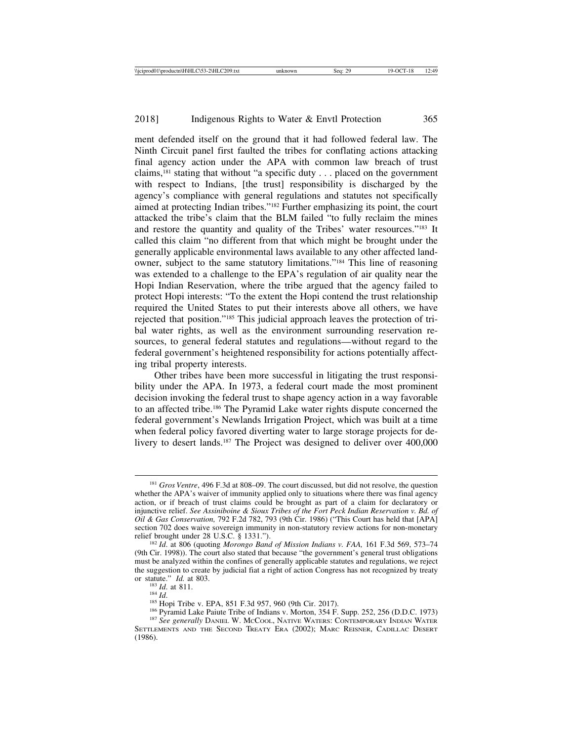ment defended itself on the ground that it had followed federal law. The Ninth Circuit panel first faulted the tribes for conflating actions attacking final agency action under the APA with common law breach of trust claims,181 stating that without "a specific duty . . . placed on the government with respect to Indians, [the trust] responsibility is discharged by the agency's compliance with general regulations and statutes not specifically aimed at protecting Indian tribes."182 Further emphasizing its point, the court attacked the tribe's claim that the BLM failed "to fully reclaim the mines and restore the quantity and quality of the Tribes' water resources."183 It called this claim "no different from that which might be brought under the generally applicable environmental laws available to any other affected landowner, subject to the same statutory limitations."184 This line of reasoning was extended to a challenge to the EPA's regulation of air quality near the Hopi Indian Reservation, where the tribe argued that the agency failed to protect Hopi interests: "To the extent the Hopi contend the trust relationship required the United States to put their interests above all others, we have rejected that position."185 This judicial approach leaves the protection of tribal water rights, as well as the environment surrounding reservation resources, to general federal statutes and regulations—without regard to the federal government's heightened responsibility for actions potentially affecting tribal property interests.

Other tribes have been more successful in litigating the trust responsibility under the APA. In 1973, a federal court made the most prominent decision invoking the federal trust to shape agency action in a way favorable to an affected tribe.186 The Pyramid Lake water rights dispute concerned the federal government's Newlands Irrigation Project, which was built at a time when federal policy favored diverting water to large storage projects for delivery to desert lands.<sup>187</sup> The Project was designed to deliver over 400,000

<sup>181</sup> *Gros Ventre*, 496 F.3d at 808–09. The court discussed, but did not resolve, the question whether the APA's waiver of immunity applied only to situations where there was final agency action, or if breach of trust claims could be brought as part of a claim for declaratory or injunctive relief. *See Assiniboine & Sioux Tribes of the Fort Peck Indian Reservation v. Bd. of Oil & Gas Conservation,* 792 F.2d 782, 793 (9th Cir. 1986) ("This Court has held that [APA] section 702 does waive sovereign immunity in non-statutory review actions for non-monetary relief brought under 28 U.S.C. § 1331.").

<sup>&</sup>lt;sup>182</sup> Id. at 806 (quoting *Morongo Band of Mission Indians v. FAA,* 161 F.3d 569, 573-74 (9th Cir. 1998)). The court also stated that because "the government's general trust obligations must be analyzed within the confines of generally applicable statutes and regulations, we reject the suggestion to create by judicial fiat a right of action Congress has not recognized by treaty or statute."  $Id$ . at 803.

<sup>&</sup>lt;sup>183</sup> *Id.* at 811.<br><sup>184</sup> *Id.*<br><sup>185</sup> Hopi Tribe v. EPA, 851 F.3d 957, 960 (9th Cir. 2017).<br><sup>186</sup> Pyramid Lake Paiute Tribe of Indians v. Morton, 354 F. Supp. 252, 256 (D.D.C. 1973)<br><sup>187</sup> *See generally* DANIEL W. MCCOOL,

SETTLEMENTS AND THE SECOND TREATY ERA (2002); MARC REISNER, CADILLAC DESERT (1986).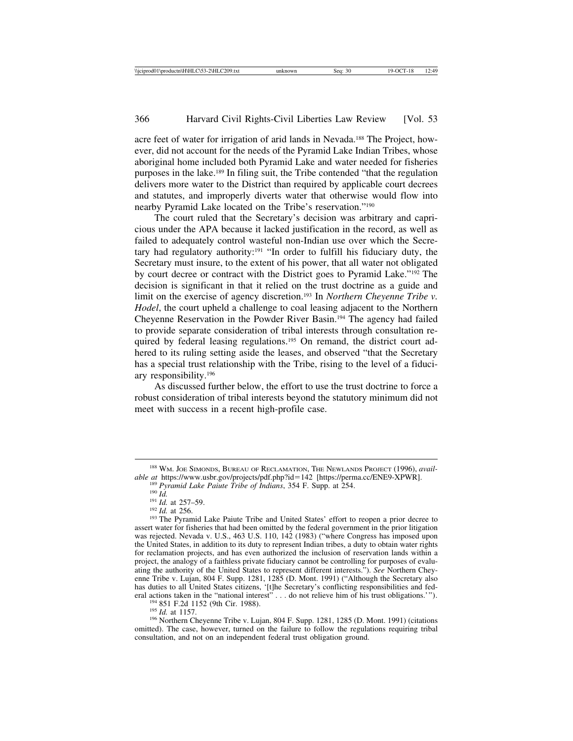acre feet of water for irrigation of arid lands in Nevada.188 The Project, however, did not account for the needs of the Pyramid Lake Indian Tribes, whose aboriginal home included both Pyramid Lake and water needed for fisheries purposes in the lake.189 In filing suit, the Tribe contended "that the regulation delivers more water to the District than required by applicable court decrees and statutes, and improperly diverts water that otherwise would flow into nearby Pyramid Lake located on the Tribe's reservation."190

The court ruled that the Secretary's decision was arbitrary and capricious under the APA because it lacked justification in the record, as well as failed to adequately control wasteful non-Indian use over which the Secretary had regulatory authority:191 "In order to fulfill his fiduciary duty, the Secretary must insure, to the extent of his power, that all water not obligated by court decree or contract with the District goes to Pyramid Lake."192 The decision is significant in that it relied on the trust doctrine as a guide and limit on the exercise of agency discretion.<sup>193</sup> In *Northern Cheyenne Tribe v. Hodel*, the court upheld a challenge to coal leasing adjacent to the Northern Cheyenne Reservation in the Powder River Basin.194 The agency had failed to provide separate consideration of tribal interests through consultation required by federal leasing regulations.<sup>195</sup> On remand, the district court adhered to its ruling setting aside the leases, and observed "that the Secretary has a special trust relationship with the Tribe, rising to the level of a fiduciary responsibility.196

As discussed further below, the effort to use the trust doctrine to force a robust consideration of tribal interests beyond the statutory minimum did not meet with success in a recent high-profile case.

<sup>&</sup>lt;sup>188</sup> WM. JOE SIMONDS, BUREAU OF RECLAMATION, THE NEWLANDS PROJECT (1996), *available at https://www.usbr.gov/projects/pdf.php?id=142 [https://perma.cc/ENE9-XPWR].* 

<sup>&</sup>lt;sup>189</sup> Pyramid Lake Paiute Tribe of Indians, 354 F. Supp. at 254.<br><sup>190</sup> Id. at 257–59.<br><sup>191</sup> Id. at 256.<br><sup>192</sup> Id. at 256.<br><sup>192</sup> Id. at 256. assert water for fisheries that had been omitted by the federal government in the prior litigation was rejected. Nevada v. U.S., 463 U.S. 110, 142 (1983) ("where Congress has imposed upon the United States, in addition to its duty to represent Indian tribes, a duty to obtain water rights for reclamation projects, and has even authorized the inclusion of reservation lands within a project, the analogy of a faithless private fiduciary cannot be controlling for purposes of evaluating the authority of the United States to represent different interests."). *See* Northern Cheyenne Tribe v. Lujan, 804 F. Supp. 1281, 1285 (D. Mont. 1991) ("Although the Secretary also has duties to all United States citizens, '[t]he Secretary's conflicting responsibilities and federal actions taken in the "national interest"... do not relieve him of his trust obligations.'").<br><sup>194</sup> 851 F.2d 1152 (9th Cir. 1988).<br><sup>195</sup> *Id.* at 1157.<br><sup>196</sup> Northern Cheyenne Tribe v. Lujan, 804 F. Supp. 1281, 1285 (

omitted). The case, however, turned on the failure to follow the regulations requiring tribal consultation, and not on an independent federal trust obligation ground.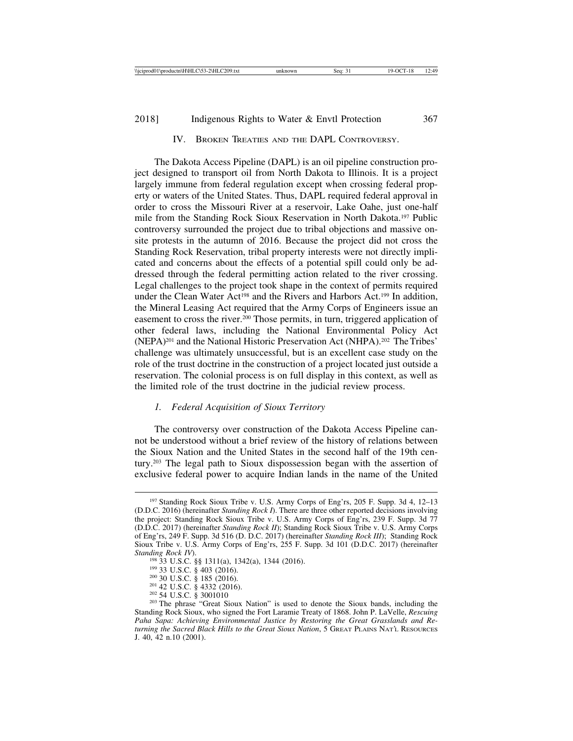## 2018] Indigenous Rights to Water & Envtl Protection 367

## IV. BROKEN TREATIES AND THE DAPL CONTROVERSY.

The Dakota Access Pipeline (DAPL) is an oil pipeline construction project designed to transport oil from North Dakota to Illinois. It is a project largely immune from federal regulation except when crossing federal property or waters of the United States. Thus, DAPL required federal approval in order to cross the Missouri River at a reservoir, Lake Oahe, just one-half mile from the Standing Rock Sioux Reservation in North Dakota.197 Public controversy surrounded the project due to tribal objections and massive onsite protests in the autumn of 2016. Because the project did not cross the Standing Rock Reservation, tribal property interests were not directly implicated and concerns about the effects of a potential spill could only be addressed through the federal permitting action related to the river crossing. Legal challenges to the project took shape in the context of permits required under the Clean Water Act<sup>198</sup> and the Rivers and Harbors Act.<sup>199</sup> In addition, the Mineral Leasing Act required that the Army Corps of Engineers issue an easement to cross the river.<sup>200</sup> Those permits, in turn, triggered application of other federal laws, including the National Environmental Policy Act (NEPA)201 and the National Historic Preservation Act (NHPA).202 The Tribes' challenge was ultimately unsuccessful, but is an excellent case study on the role of the trust doctrine in the construction of a project located just outside a reservation. The colonial process is on full display in this context, as well as the limited role of the trust doctrine in the judicial review process.

#### *1. Federal Acquisition of Sioux Territory*

The controversy over construction of the Dakota Access Pipeline cannot be understood without a brief review of the history of relations between the Sioux Nation and the United States in the second half of the 19th century.203 The legal path to Sioux dispossession began with the assertion of exclusive federal power to acquire Indian lands in the name of the United

<sup>197</sup> Standing Rock Sioux Tribe v. U.S. Army Corps of Eng'rs, 205 F. Supp. 3d 4, 12–13 (D.D.C. 2016) (hereinafter *Standing Rock I*). There are three other reported decisions involving the project: Standing Rock Sioux Tribe v. U.S. Army Corps of Eng'rs, 239 F. Supp. 3d 77 (D.D.C. 2017) (hereinafter *Standing Rock II*); Standing Rock Sioux Tribe v. U.S. Army Corps of Eng'rs, 249 F. Supp. 3d 516 (D. D.C. 2017) (hereinafter *Standing Rock III*); Standing Rock Sioux Tribe v. U.S. Army Corps of Eng'rs, 255 F. Supp. 3d 101 (D.D.C. 2017) (hereinafter

<sup>&</sup>lt;sup>198</sup> 33 U.S.C. §§ 1311(a), 1342(a), 1344 (2016).<br><sup>199</sup> 33 U.S.C. § 403 (2016).<br><sup>200</sup> 30 U.S.C. § 185 (2016).<br><sup>201</sup> 42 U.S.C. § 4332 (2016).<br><sup>202</sup> 54 U.S.C. § 3001010<br><sup>202</sup> 54 U.S.C. § 3001010 Standing Rock Sioux, who signed the Fort Laramie Treaty of 1868. John P. LaVelle, *Rescuing Paha Sapa: Achieving Environmental Justice by Restoring the Great Grasslands and Returning the Sacred Black Hills to the Great Sioux Nation*, 5 GREAT PLAINS NAT'L RESOURCES J. 40, 42 n.10 (2001).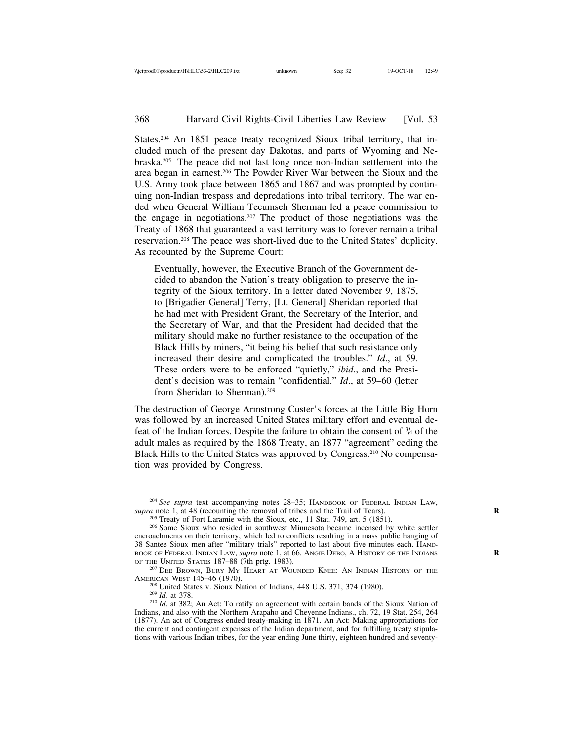States.<sup>204</sup> An 1851 peace treaty recognized Sioux tribal territory, that included much of the present day Dakotas, and parts of Wyoming and Nebraska.205 The peace did not last long once non-Indian settlement into the area began in earnest.206 The Powder River War between the Sioux and the U.S. Army took place between 1865 and 1867 and was prompted by continuing non-Indian trespass and depredations into tribal territory. The war ended when General William Tecumseh Sherman led a peace commission to the engage in negotiations.207 The product of those negotiations was the Treaty of 1868 that guaranteed a vast territory was to forever remain a tribal reservation.208 The peace was short-lived due to the United States' duplicity. As recounted by the Supreme Court:

Eventually, however, the Executive Branch of the Government decided to abandon the Nation's treaty obligation to preserve the integrity of the Sioux territory. In a letter dated November 9, 1875, to [Brigadier General] Terry, [Lt. General] Sheridan reported that he had met with President Grant, the Secretary of the Interior, and the Secretary of War, and that the President had decided that the military should make no further resistance to the occupation of the Black Hills by miners, "it being his belief that such resistance only increased their desire and complicated the troubles." *Id*., at 59. These orders were to be enforced "quietly," *ibid*., and the President's decision was to remain "confidential." *Id*., at 59–60 (letter from Sheridan to Sherman).<sup>209</sup>

The destruction of George Armstrong Custer's forces at the Little Big Horn was followed by an increased United States military effort and eventual defeat of the Indian forces. Despite the failure to obtain the consent of 3 /4 of the adult males as required by the 1868 Treaty, an 1877 "agreement" ceding the Black Hills to the United States was approved by Congress.<sup>210</sup> No compensation was provided by Congress.

<sup>&</sup>lt;sup>204</sup> *See supra* text accompanying notes 28–35; HANDBOOK OF FEDERAL INDIAN LAW, *supra* note 1, at 48 (recounting the removal of tribes and the Trail of Tears).

<sup>&</sup>lt;sup>205</sup> Treaty of Fort Laramie with the Sioux, etc., 11 Stat. 749, art. 5 (1851).<br><sup>206</sup> Some Sioux who resided in southwest Minnesota became incensed by white settler encroachments on their territory, which led to conflicts resulting in a mass public hanging of 38 Santee Sioux men after "military trials" reported to last about five minutes each. HAND-BOOK OF FEDERAL INDIAN LAW, *supra* note 1, at 66. ANGIE DEBO, A HISTORY OF THE INDIANS OF THE UNITED STATES 187–88 (7th prtg. 1983).

<sup>&</sup>lt;sup>207</sup> DEE BROWN, BURY MY HEART AT WOUNDED KNEE: AN INDIAN HISTORY OF THE AMERICAN WEST 145–46 (1970).<br><sup>208</sup> United States v. Sioux Nation of Indians, 448 U.S. 371, 374 (1980).<br><sup>209</sup> *Id.* at 378.<br><sup>210</sup> *Id.* at 382; An Act: To ratify an agreement with certain bands of the Sioux Nation of

Indians, and also with the Northern Arapaho and Cheyenne Indians., ch. 72, 19 Stat. 254, 264 (1877). An act of Congress ended treaty-making in 1871. An Act: Making appropriations for the current and contingent expenses of the Indian department, and for fulfilling treaty stipulations with various Indian tribes, for the year ending June thirty, eighteen hundred and seventy-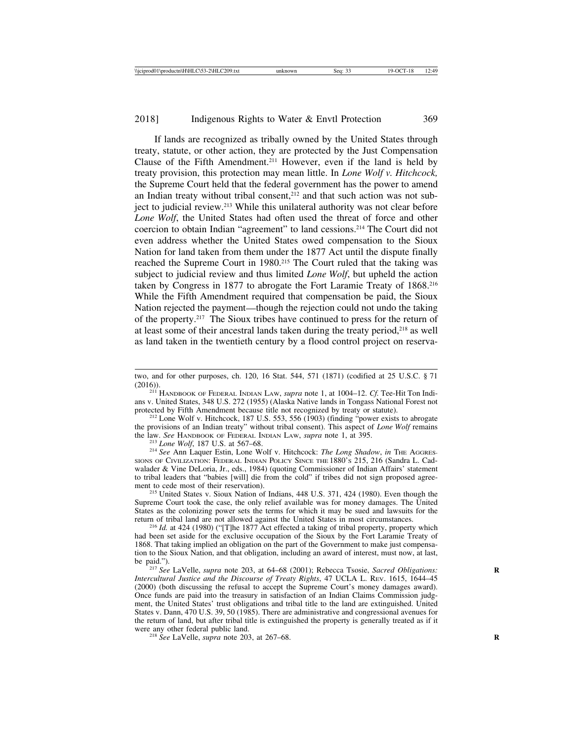#### 2018] Indigenous Rights to Water & Envtl Protection 369

If lands are recognized as tribally owned by the United States through treaty, statute, or other action, they are protected by the Just Compensation Clause of the Fifth Amendment.211 However, even if the land is held by treaty provision, this protection may mean little. In *Lone Wolf v. Hitchcock,* the Supreme Court held that the federal government has the power to amend an Indian treaty without tribal consent,<sup>212</sup> and that such action was not subject to judicial review.213 While this unilateral authority was not clear before *Lone Wolf*, the United States had often used the threat of force and other coercion to obtain Indian "agreement" to land cessions.214 The Court did not even address whether the United States owed compensation to the Sioux Nation for land taken from them under the 1877 Act until the dispute finally reached the Supreme Court in 1980.215 The Court ruled that the taking was subject to judicial review and thus limited *Lone Wolf*, but upheld the action taken by Congress in 1877 to abrogate the Fort Laramie Treaty of 1868.216 While the Fifth Amendment required that compensation be paid, the Sioux Nation rejected the payment—though the rejection could not undo the taking of the property.217 The Sioux tribes have continued to press for the return of at least some of their ancestral lands taken during the treaty period,<sup>218</sup> as well as land taken in the twentieth century by a flood control project on reserva-

<sup>213</sup> Lone Wolf, 187 U.S. at 567–68.<br><sup>214</sup> See Ann Laquer Estin, Lone Wolf v. Hitchcock: *The Long Shadow*, *in* THE AGGRES-SIONS OF CIVILIZATION: FEDERAL INDIAN POLICY SINCE THE 1880'S 215, 216 (Sandra L. Cadwalader & Vine DeLoria, Jr., eds., 1984) (quoting Commissioner of Indian Affairs' statement to tribal leaders that "babies [will] die from the cold" if tribes did not sign proposed agreement to cede most of their reservation).<br><sup>215</sup> United States v. Sioux Nation of Indians, 448 U.S. 371, 424 (1980). Even though the

Supreme Court took the case, the only relief available was for money damages. The United States as the colonizing power sets the terms for which it may be sued and lawsuits for the return of tribal land are not allowed against the United States in most circumstances.

<sup>216</sup> *Id.* at 424 (1980) ("The 1877 Act effected a taking of tribal property, property which had been set aside for the exclusive occupation of the Sioux by the Fort Laramie Treaty of 1868. That taking implied an obligation on the part of the Government to make just compensation to the Sioux Nation, and that obligation, including an award of interest, must now, at last, be paid.").<br><sup>217</sup> *See* LaVelle, *supra* note 203, at 64–68 (2001); Rebecca Tsosie, *Sacred Obligations:* 

*Intercultural Justice and the Discourse of Treaty Rights*, 47 UCLA L. REV. 1615, 1644–45 (2000) (both discussing the refusal to accept the Supreme Court's money damages award). Once funds are paid into the treasury in satisfaction of an Indian Claims Commission judgment, the United States' trust obligations and tribal title to the land are extinguished. United States v. Dann, 470 U.S. 39, 50 (1985). There are administrative and congressional avenues for the return of land, but after tribal title is extinguished the property is generally treated as if it

<sup>218</sup> *See* LaVelle, *supra* note 203, at 267–68.

two, and for other purposes, ch. 120, 16 Stat. 544, 571 (1871) (codified at 25 U.S.C. § 71 (2016)). <sup>211</sup> HANDBOOK OF FEDERAL INDIAN LAW, *supra* note 1, at 1004–12. *Cf.* Tee-Hit Ton Indi-

ans v. United States, 348 U.S. 272 (1955) (Alaska Native lands in Tongass National Forest not

 $2^{12}$  Lone Wolf v. Hitchcock, 187 U.S. 553, 556 (1903) (finding "power exists to abrogate the provisions of an Indian treaty" without tribal consent). This aspect of *Lone Wolf* remains the law. See HANDBOOK OF FEDERAL INDIAN LAW, *supra* note 1, at 395.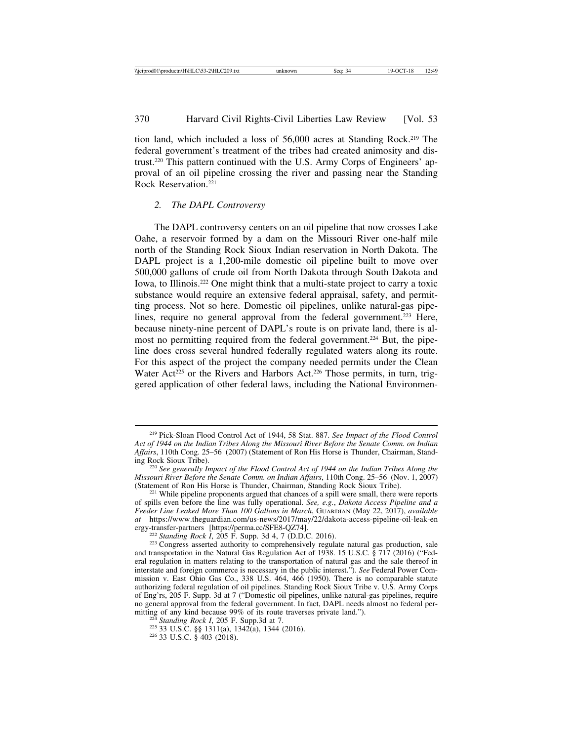tion land, which included a loss of 56,000 acres at Standing Rock.219 The federal government's treatment of the tribes had created animosity and distrust.220 This pattern continued with the U.S. Army Corps of Engineers' approval of an oil pipeline crossing the river and passing near the Standing Rock Reservation<sup>221</sup>

## *2. The DAPL Controversy*

The DAPL controversy centers on an oil pipeline that now crosses Lake Oahe, a reservoir formed by a dam on the Missouri River one-half mile north of the Standing Rock Sioux Indian reservation in North Dakota. The DAPL project is a 1,200-mile domestic oil pipeline built to move over 500,000 gallons of crude oil from North Dakota through South Dakota and Iowa, to Illinois.222 One might think that a multi-state project to carry a toxic substance would require an extensive federal appraisal, safety, and permitting process. Not so here. Domestic oil pipelines, unlike natural-gas pipelines, require no general approval from the federal government.<sup>223</sup> Here, because ninety-nine percent of DAPL's route is on private land, there is almost no permitting required from the federal government.224 But, the pipeline does cross several hundred federally regulated waters along its route. For this aspect of the project the company needed permits under the Clean Water Act<sup>225</sup> or the Rivers and Harbors Act.<sup>226</sup> Those permits, in turn, triggered application of other federal laws, including the National Environmen-

<sup>219</sup> Pick-Sloan Flood Control Act of 1944, 58 Stat. 887. *See Impact of the Flood Control Act of 1944 on the Indian Tribes Along the Missouri River Before the Senate Comm. on Indian* Affairs, 110th Cong. 25–56 (2007) (Statement of Ron His Horse is Thunder, Chairman, Standing Rock Sioux Tribe).

<sup>&</sup>lt;sup>220</sup> See generally Impact of the Flood Control Act of 1944 on the Indian Tribes Along the *Missouri River Before the Senate Comm. on Indian Affairs*, 110th Cong. 25–56 (Nov. 1, 2007) (Statement of Ron His Horse is Thunder, Chairman, Standing Rock Sioux Tribe).

 $^{221}$  While pipeline proponents argued that chances of a spill were small, there were reports of spills even before the line was fully operational. *See, e.g.*, *Dakota Access Pipeline and a Feeder Line Leaked More Than 100 Gallons in March*, GUARDIAN (May 22, 2017), *available at* https://www.theguardian.com/us-news/2017/may/22/dakota-access-pipeline-oil-leak-en

<sup>&</sup>lt;sup>222</sup> *Standing Rock I*, 205 F. Supp. 3d 4, 7 (D.D.C. 2016). <sup>223</sup> Congress asserted authority to comprehensively regulate natural gas production, sale and transportation in the Natural Gas Regulation Act of 1938. 15 U.S.C. § 717 (2016) ("Federal regulation in matters relating to the transportation of natural gas and the sale thereof in interstate and foreign commerce is necessary in the public interest."). *See* Federal Power Commission v. East Ohio Gas Co., 338 U.S. 464, 466 (1950). There is no comparable statute authorizing federal regulation of oil pipelines. Standing Rock Sioux Tribe v. U.S. Army Corps of Eng'rs, 205 F. Supp. 3d at 7 ("Domestic oil pipelines, unlike natural-gas pipelines, require no general approval from the federal government. In fact, DAPL needs almost no federal per-<br>mitting of any kind because 99% of its route traverses private land.").

<sup>&</sup>lt;sup>224</sup> Standing Rock I, 205 F. Supp.3d at 7.<br><sup>225</sup> 33 U.S.C. §§ 1311(a), 1342(a), 1344 (2016). <sup>226</sup> 33 U.S.C. § 403 (2018).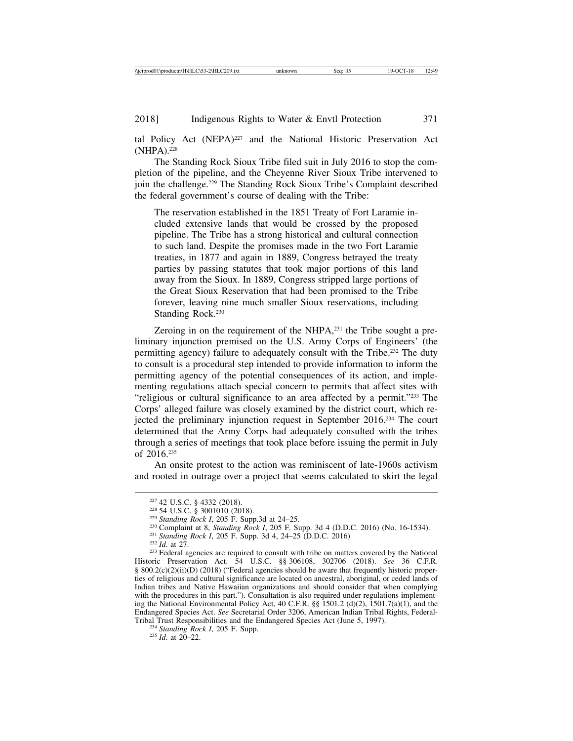tal Policy Act (NEPA)<sup>227</sup> and the National Historic Preservation Act (NHPA).<sup>228</sup>

The Standing Rock Sioux Tribe filed suit in July 2016 to stop the completion of the pipeline, and the Cheyenne River Sioux Tribe intervened to join the challenge.229 The Standing Rock Sioux Tribe's Complaint described the federal government's course of dealing with the Tribe:

The reservation established in the 1851 Treaty of Fort Laramie included extensive lands that would be crossed by the proposed pipeline. The Tribe has a strong historical and cultural connection to such land. Despite the promises made in the two Fort Laramie treaties, in 1877 and again in 1889, Congress betrayed the treaty parties by passing statutes that took major portions of this land away from the Sioux. In 1889, Congress stripped large portions of the Great Sioux Reservation that had been promised to the Tribe forever, leaving nine much smaller Sioux reservations, including Standing Rock.230

Zeroing in on the requirement of the NHPA,<sup>231</sup> the Tribe sought a preliminary injunction premised on the U.S. Army Corps of Engineers' (the permitting agency) failure to adequately consult with the Tribe.232 The duty to consult is a procedural step intended to provide information to inform the permitting agency of the potential consequences of its action, and implementing regulations attach special concern to permits that affect sites with "religious or cultural significance to an area affected by a permit."233 The Corps' alleged failure was closely examined by the district court, which rejected the preliminary injunction request in September 2016.234 The court determined that the Army Corps had adequately consulted with the tribes through a series of meetings that took place before issuing the permit in July of 2016.235

An onsite protest to the action was reminiscent of late-1960s activism and rooted in outrage over a project that seems calculated to skirt the legal

<sup>&</sup>lt;sup>227</sup> 42 U.S.C. § 4332 (2018).<br><sup>228</sup> 54 U.S.C. § 3001010 (2018).<br><sup>229</sup> *Standing Rock I*, 205 F. Supp.3d at 24–25.<br><sup>230</sup> Complaint at 8, *Standing Rock I*, 205 F. Supp. 3d 4 (D.D.C. 2016) (No. 16-1534).<br><sup>231</sup> *Standing Ro* Historic Preservation Act. 54 U.S.C. §§ 306108, 302706 (2018). *See* 36 C.F.R. § 800.2(c)(2)(ii)(D) (2018) ("Federal agencies should be aware that frequently historic properties of religious and cultural significance are located on ancestral, aboriginal, or ceded lands of Indian tribes and Native Hawaiian organizations and should consider that when complying with the procedures in this part."). Consultation is also required under regulations implementing the National Environmental Policy Act, 40 C.F.R. §§ 1501.2 (d)(2), 1501.7(a)(1), and the Endangered Species Act. *See* Secretarial Order 3206, American Indian Tribal Rights, Federal-Tribal Trust Responsibilities and the Endangered Species Act (June 5, 1997). <sup>234</sup> *Standing Rock I*, 205 F. Supp. <sup>235</sup> *Id*. at 20–22.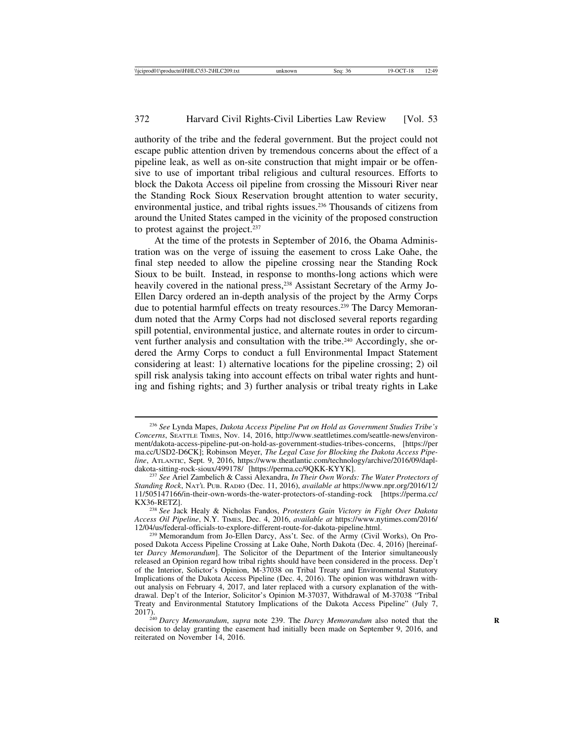authority of the tribe and the federal government. But the project could not escape public attention driven by tremendous concerns about the effect of a pipeline leak, as well as on-site construction that might impair or be offensive to use of important tribal religious and cultural resources. Efforts to block the Dakota Access oil pipeline from crossing the Missouri River near the Standing Rock Sioux Reservation brought attention to water security, environmental justice, and tribal rights issues.236 Thousands of citizens from around the United States camped in the vicinity of the proposed construction to protest against the project.237

At the time of the protests in September of 2016, the Obama Administration was on the verge of issuing the easement to cross Lake Oahe, the final step needed to allow the pipeline crossing near the Standing Rock Sioux to be built. Instead, in response to months-long actions which were heavily covered in the national press,<sup>238</sup> Assistant Secretary of the Army Jo-Ellen Darcy ordered an in-depth analysis of the project by the Army Corps due to potential harmful effects on treaty resources.239 The Darcy Memorandum noted that the Army Corps had not disclosed several reports regarding spill potential, environmental justice, and alternate routes in order to circumvent further analysis and consultation with the tribe.240 Accordingly, she ordered the Army Corps to conduct a full Environmental Impact Statement considering at least: 1) alternative locations for the pipeline crossing; 2) oil spill risk analysis taking into account effects on tribal water rights and hunting and fishing rights; and 3) further analysis or tribal treaty rights in Lake

<sup>236</sup> *See* Lynda Mapes, *Dakota Access Pipeline Put on Hold as Government Studies Tribe's Concerns*, SEATTLE TIMES, Nov. 14, 2016, http://www.seattletimes.com/seattle-news/environment/dakota-access-pipeline-put-on-hold-as-government-studies-tribes-concerns, [https://per ma.cc/USD2-D6CK]; Robinson Meyer, *The Legal Case for Blocking the Dakota Access Pipeline*, ATLANTIC, Sept. 9, 2016, https://www.theatlantic.com/technology/archive/2016/09/dapl-

<sup>&</sup>lt;sup>237</sup> See Ariel Zambelich & Cassi Alexandra, *In Their Own Words: The Water Protectors of Standing Rock*, NAT'L PUB. RADIO (Dec. 11, 2016), *available at* https://www.npr.org/2016/12/ 11/505147166/in-their-own-words-the-water-protectors-of-standing-rock [https://perma.cc/ KX36-RETZ]. <sup>238</sup> *See* Jack Healy & Nicholas Fandos, *Protesters Gain Victory in Fight Over Dakota*

*Access Oil Pipeline*, N.Y. TIMES, Dec. 4, 2016, *available at* https://www.nytimes.com/2016/

<sup>&</sup>lt;sup>239</sup> Memorandum from Jo-Ellen Darcy, Ass't. Sec. of the Army (Civil Works), On Proposed Dakota Access Pipeline Crossing at Lake Oahe, North Dakota (Dec. 4, 2016) [hereinafter *Darcy Memorandum*]. The Solicitor of the Department of the Interior simultaneously released an Opinion regard how tribal rights should have been considered in the process. Dep't of the Interior, Solictor's Opinion, M-37038 on Tribal Treaty and Environmental Statutory Implications of the Dakota Access Pipeline (Dec. 4, 2016). The opinion was withdrawn without analysis on February 4, 2017, and later replaced with a cursory explanation of the withdrawal. Dep't of the Interior, Solicitor's Opinion M-37037, Withdrawal of M-37038 "Tribal Treaty and Environmental Statutory Implications of the Dakota Access Pipeline" (July 7,

<sup>2017).&</sup>lt;br><sup>240</sup> *Darcy Memorandum, supra* note 239. The *Darcy Memorandum* also noted that the decision to delay granting the easement had initially been made on September 9, 2016, and reiterated on November 14, 2016.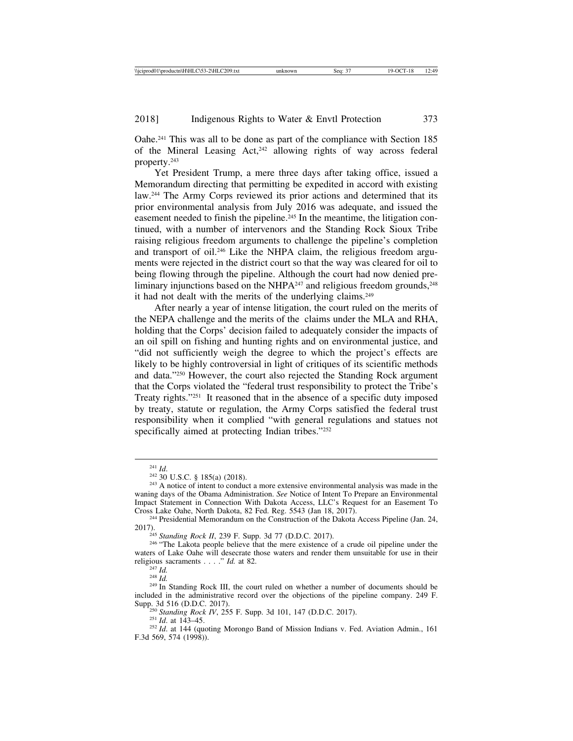Oahe.241 This was all to be done as part of the compliance with Section 185 of the Mineral Leasing Act,242 allowing rights of way across federal property.243

Yet President Trump, a mere three days after taking office, issued a Memorandum directing that permitting be expedited in accord with existing law.244 The Army Corps reviewed its prior actions and determined that its prior environmental analysis from July 2016 was adequate, and issued the easement needed to finish the pipeline.<sup>245</sup> In the meantime, the litigation continued, with a number of intervenors and the Standing Rock Sioux Tribe raising religious freedom arguments to challenge the pipeline's completion and transport of oil.246 Like the NHPA claim, the religious freedom arguments were rejected in the district court so that the way was cleared for oil to being flowing through the pipeline. Although the court had now denied preliminary injunctions based on the NHPA $^{247}$  and religious freedom grounds, $^{248}$ it had not dealt with the merits of the underlying claims.<sup>249</sup>

After nearly a year of intense litigation, the court ruled on the merits of the NEPA challenge and the merits of the claims under the MLA and RHA, holding that the Corps' decision failed to adequately consider the impacts of an oil spill on fishing and hunting rights and on environmental justice, and "did not sufficiently weigh the degree to which the project's effects are likely to be highly controversial in light of critiques of its scientific methods and data."250 However, the court also rejected the Standing Rock argument that the Corps violated the "federal trust responsibility to protect the Tribe's Treaty rights."251 It reasoned that in the absence of a specific duty imposed by treaty, statute or regulation, the Army Corps satisfied the federal trust responsibility when it complied "with general regulations and statues not specifically aimed at protecting Indian tribes."252

<sup>245</sup> *Standing Rock II*, 239 F. Supp. 3d 77 (D.D.C. 2017).<br><sup>246</sup> "The Lakota people believe that the mere existence of a crude oil pipeline under the waters of Lake Oahe will desecrate those waters and render them unsuitable for use in their religious sacraments  $\dots$   $\ddot{d}$  at 82.

<sup>&</sup>lt;sup>241</sup> *Id.* <sup>242</sup> 30 U.S.C. § 185(a) (2018). <sup>242</sup> 30 U.S.C. § 185(a) (2018). <sup>243</sup> A notice of intent to conduct a more extensive environmental analysis was made in the waning days of the Obama Administration. *See* Notice of Intent To Prepare an Environmental Impact Statement in Connection With Dakota Access, LLC's Request for an Easement To

<sup>&</sup>lt;sup>244</sup> Presidential Memorandum on the Construction of the Dakota Access Pipeline (Jan. 24, 2017).

<sup>&</sup>lt;sup>247</sup> *Id.* <sup>248</sup> *Id.* 248 *Id.* 248 *Id.* 248 *Id.* 249 In Standing Rock III, the court ruled on whether a number of documents should be included in the administrative record over the objections of the pipeline company. 249 F.

<sup>&</sup>lt;sup>250</sup> Standing Rock IV, 255 F. Supp. 3d 101, 147 (D.D.C. 2017).<br><sup>251</sup> *Id.* at 143–45. <sup>252</sup> *Id.* at 144 (quoting Morongo Band of Mission Indians v. Fed. Aviation Admin., 161 F.3d 569, 574 (1998)).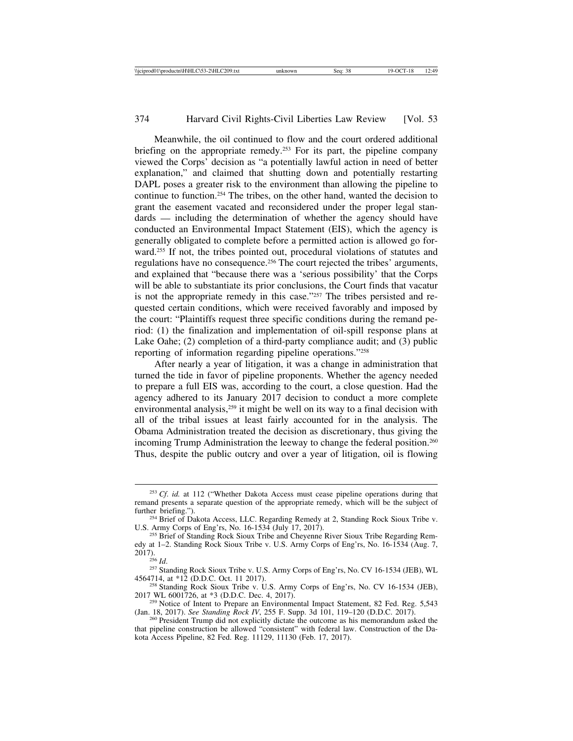Meanwhile, the oil continued to flow and the court ordered additional briefing on the appropriate remedy.<sup>253</sup> For its part, the pipeline company viewed the Corps' decision as "a potentially lawful action in need of better explanation," and claimed that shutting down and potentially restarting DAPL poses a greater risk to the environment than allowing the pipeline to continue to function.254 The tribes, on the other hand, wanted the decision to grant the easement vacated and reconsidered under the proper legal standards — including the determination of whether the agency should have conducted an Environmental Impact Statement (EIS), which the agency is generally obligated to complete before a permitted action is allowed go forward.255 If not, the tribes pointed out, procedural violations of statutes and regulations have no consequence.256 The court rejected the tribes' arguments, and explained that "because there was a 'serious possibility' that the Corps will be able to substantiate its prior conclusions, the Court finds that vacatur is not the appropriate remedy in this case."257 The tribes persisted and requested certain conditions, which were received favorably and imposed by the court: "Plaintiffs request three specific conditions during the remand period: (1) the finalization and implementation of oil-spill response plans at Lake Oahe; (2) completion of a third-party compliance audit; and (3) public reporting of information regarding pipeline operations."258

After nearly a year of litigation, it was a change in administration that turned the tide in favor of pipeline proponents. Whether the agency needed to prepare a full EIS was, according to the court, a close question. Had the agency adhered to its January 2017 decision to conduct a more complete environmental analysis,<sup>259</sup> it might be well on its way to a final decision with all of the tribal issues at least fairly accounted for in the analysis. The Obama Administration treated the decision as discretionary, thus giving the incoming Trump Administration the leeway to change the federal position.<sup>260</sup> Thus, despite the public outcry and over a year of litigation, oil is flowing

<sup>257</sup> Standing Rock Sioux Tribe v. U.S. Army Corps of Eng'rs, No. CV 16-1534 (JEB), WL 4564714, at \*12 (D.D.C. Oct. 11 2017).

<sup>258</sup> Standing Rock Sioux Tribe v. U.S. Army Corps of Eng'rs, No. CV 16-1534 (JEB), 2017 WL 6001726, at  $*3$  (D.D.C. Dec. 4, 2017).

<sup>253</sup> *Cf*. *id.* at 112 ("Whether Dakota Access must cease pipeline operations during that remand presents a separate question of the appropriate remedy, which will be the subject of further briefing.").

<sup>&</sup>lt;sup>254</sup> Brief of Dakota Access, LLC. Regarding Remedy at 2, Standing Rock Sioux Tribe v. U.S. Army Corps of Eng'rs, No. 16-1534 (July 17, 2017).

<sup>&</sup>lt;sup>255</sup> Brief of Standing Rock Sioux Tribe and Cheyenne River Sioux Tribe Regarding Remedy at 1–2. Standing Rock Sioux Tribe v. U.S. Army Corps of Eng'rs, No. 16-1534 (Aug. 7, 2017).

<sup>&</sup>lt;sup>259</sup> Notice of Intent to Prepare an Environmental Impact Statement, 82 Fed. Reg. 5,543 (Jan. 18, 2017). *See Standing Rock IV*, 255 F. Supp. 3d 101, 119–120 (D.D.C. 2017). <sup>260</sup> President Trump did not explicitly dictate the outcome as his memorandum asked the

that pipeline construction be allowed "consistent" with federal law. Construction of the Dakota Access Pipeline, 82 Fed. Reg. 11129, 11130 (Feb. 17, 2017).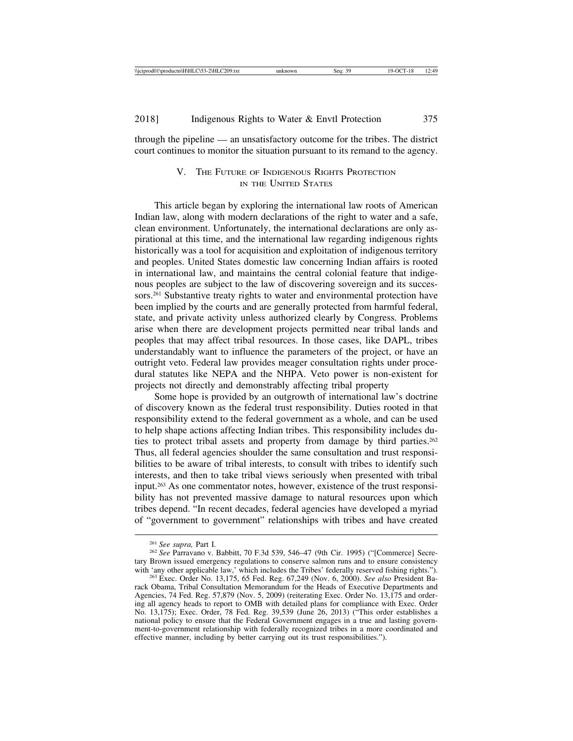through the pipeline — an unsatisfactory outcome for the tribes. The district court continues to monitor the situation pursuant to its remand to the agency.

## V. THE FUTURE OF INDIGENOUS RIGHTS PROTECTION IN THE UNITED STATES

This article began by exploring the international law roots of American Indian law, along with modern declarations of the right to water and a safe, clean environment. Unfortunately, the international declarations are only aspirational at this time, and the international law regarding indigenous rights historically was a tool for acquisition and exploitation of indigenous territory and peoples. United States domestic law concerning Indian affairs is rooted in international law, and maintains the central colonial feature that indigenous peoples are subject to the law of discovering sovereign and its successors.261 Substantive treaty rights to water and environmental protection have been implied by the courts and are generally protected from harmful federal, state, and private activity unless authorized clearly by Congress. Problems arise when there are development projects permitted near tribal lands and peoples that may affect tribal resources. In those cases, like DAPL, tribes understandably want to influence the parameters of the project, or have an outright veto. Federal law provides meager consultation rights under procedural statutes like NEPA and the NHPA. Veto power is non-existent for projects not directly and demonstrably affecting tribal property

Some hope is provided by an outgrowth of international law's doctrine of discovery known as the federal trust responsibility. Duties rooted in that responsibility extend to the federal government as a whole, and can be used to help shape actions affecting Indian tribes. This responsibility includes duties to protect tribal assets and property from damage by third parties.<sup>262</sup> Thus, all federal agencies shoulder the same consultation and trust responsibilities to be aware of tribal interests, to consult with tribes to identify such interests, and then to take tribal views seriously when presented with tribal input.263 As one commentator notes, however, existence of the trust responsibility has not prevented massive damage to natural resources upon which tribes depend. "In recent decades, federal agencies have developed a myriad of "government to government" relationships with tribes and have created

<sup>261</sup> *See supra,* Part I. <sup>262</sup> *See* Parravano v. Babbitt, 70 F.3d 539, 546–47 (9th Cir. 1995) ("[Commerce] Secretary Brown issued emergency regulations to conserve salmon runs and to ensure consistency with 'any other applicable law,' which includes the Tribes' federally reserved fishing rights."). <sup>263</sup> Exec. Order No. 13,175, 65 Fed. Reg. 67,249 (Nov. 6, 2000). *See also* President Ba-

rack Obama, Tribal Consultation Memorandum for the Heads of Executive Departments and Agencies, 74 Fed. Reg. 57,879 (Nov. 5, 2009) (reiterating Exec. Order No. 13,175 and ordering all agency heads to report to OMB with detailed plans for compliance with Exec. Order No. 13,175); Exec. Order, 78 Fed. Reg. 39,539 (June 26, 2013) ("This order establishes a national policy to ensure that the Federal Government engages in a true and lasting government-to-government relationship with federally recognized tribes in a more coordinated and effective manner, including by better carrying out its trust responsibilities.").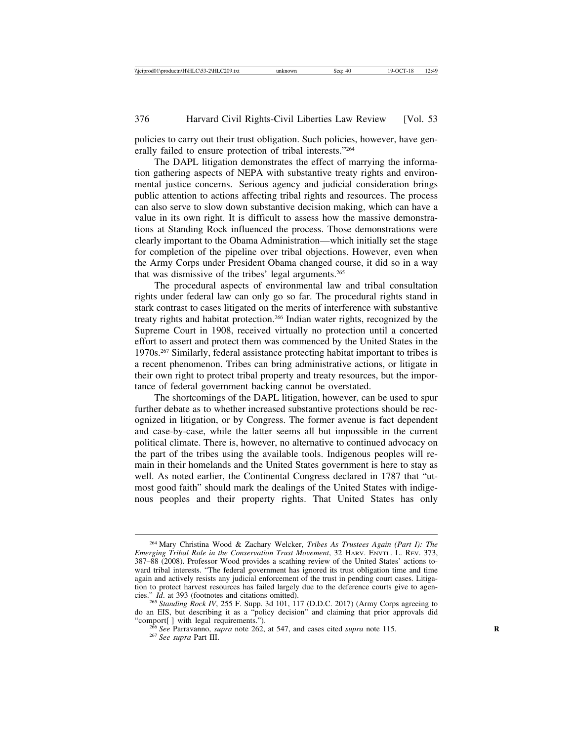policies to carry out their trust obligation. Such policies, however, have generally failed to ensure protection of tribal interests."264

The DAPL litigation demonstrates the effect of marrying the information gathering aspects of NEPA with substantive treaty rights and environmental justice concerns. Serious agency and judicial consideration brings public attention to actions affecting tribal rights and resources. The process can also serve to slow down substantive decision making, which can have a value in its own right. It is difficult to assess how the massive demonstrations at Standing Rock influenced the process. Those demonstrations were clearly important to the Obama Administration—which initially set the stage for completion of the pipeline over tribal objections. However, even when the Army Corps under President Obama changed course, it did so in a way that was dismissive of the tribes' legal arguments.265

The procedural aspects of environmental law and tribal consultation rights under federal law can only go so far. The procedural rights stand in stark contrast to cases litigated on the merits of interference with substantive treaty rights and habitat protection.266 Indian water rights, recognized by the Supreme Court in 1908, received virtually no protection until a concerted effort to assert and protect them was commenced by the United States in the 1970s.267 Similarly, federal assistance protecting habitat important to tribes is a recent phenomenon. Tribes can bring administrative actions, or litigate in their own right to protect tribal property and treaty resources, but the importance of federal government backing cannot be overstated.

The shortcomings of the DAPL litigation, however, can be used to spur further debate as to whether increased substantive protections should be recognized in litigation, or by Congress. The former avenue is fact dependent and case-by-case, while the latter seems all but impossible in the current political climate. There is, however, no alternative to continued advocacy on the part of the tribes using the available tools. Indigenous peoples will remain in their homelands and the United States government is here to stay as well. As noted earlier, the Continental Congress declared in 1787 that "utmost good faith" should mark the dealings of the United States with indigenous peoples and their property rights. That United States has only

<sup>264</sup> Mary Christina Wood & Zachary Welcker, *Tribes As Trustees Again (Part I): The Emerging Tribal Role in the Conservation Trust Movement*, 32 HARV. ENVTL. L. REV. 373, 387–88 (2008). Professor Wood provides a scathing review of the United States' actions toward tribal interests. "The federal government has ignored its trust obligation time and time again and actively resists any judicial enforcement of the trust in pending court cases. Litigation to protect harvest resources has failed largely due to the deference courts give to agencies."  $Id$  at 393 (footnotes and citations omitted).

<sup>&</sup>lt;sup>265</sup> Standing Rock IV, 255 F. Supp. 3d 101, 117 (D.D.C. 2017) (Army Corps agreeing to do an EIS, but describing it as a "policy decision" and claiming that prior approvals did

<sup>&</sup>quot;comport[ ] with legal requirements.").<br><sup>266</sup> *See* Parravanno, *supra* note 262, at 547, and cases cited *supra* note 115.<br><sup>267</sup> *See supra* Part III.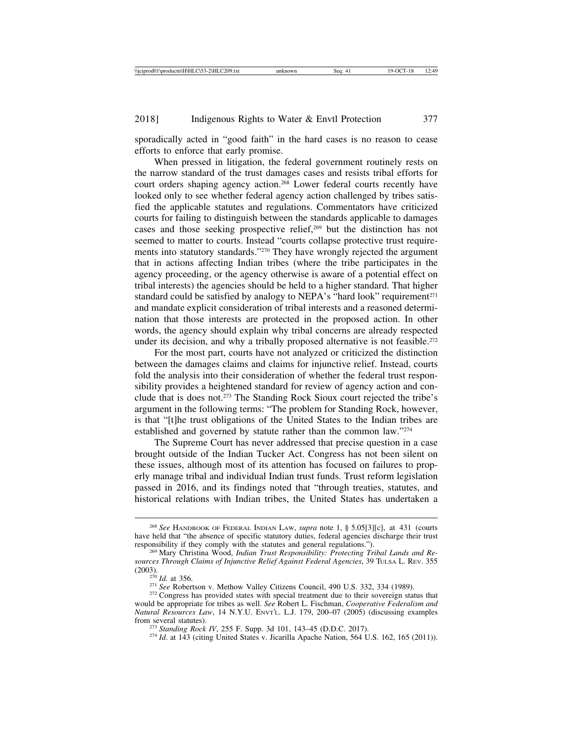sporadically acted in "good faith" in the hard cases is no reason to cease efforts to enforce that early promise.

When pressed in litigation, the federal government routinely rests on the narrow standard of the trust damages cases and resists tribal efforts for court orders shaping agency action.268 Lower federal courts recently have looked only to see whether federal agency action challenged by tribes satisfied the applicable statutes and regulations. Commentators have criticized courts for failing to distinguish between the standards applicable to damages cases and those seeking prospective relief,<sup>269</sup> but the distinction has not seemed to matter to courts. Instead "courts collapse protective trust requirements into statutory standards."270 They have wrongly rejected the argument that in actions affecting Indian tribes (where the tribe participates in the agency proceeding, or the agency otherwise is aware of a potential effect on tribal interests) the agencies should be held to a higher standard. That higher standard could be satisfied by analogy to NEPA's "hard look" requirement<sup> $271$ </sup> and mandate explicit consideration of tribal interests and a reasoned determination that those interests are protected in the proposed action. In other words, the agency should explain why tribal concerns are already respected under its decision, and why a tribally proposed alternative is not feasible.<sup>272</sup>

For the most part, courts have not analyzed or criticized the distinction between the damages claims and claims for injunctive relief. Instead, courts fold the analysis into their consideration of whether the federal trust responsibility provides a heightened standard for review of agency action and conclude that is does not.273 The Standing Rock Sioux court rejected the tribe's argument in the following terms: "The problem for Standing Rock, however, is that "[t]he trust obligations of the United States to the Indian tribes are established and governed by statute rather than the common law."274

The Supreme Court has never addressed that precise question in a case brought outside of the Indian Tucker Act. Congress has not been silent on these issues, although most of its attention has focused on failures to properly manage tribal and individual Indian trust funds. Trust reform legislation passed in 2016, and its findings noted that "through treaties, statutes, and historical relations with Indian tribes, the United States has undertaken a

<sup>268</sup> *See* HANDBOOK OF FEDERAL INDIAN LAW, *supra* note 1, § 5.05[3][c], at 431 (courts have held that "the absence of specific statutory duties, federal agencies discharge their trust responsibility if they comply with the statutes and general regulations.").

<sup>&</sup>lt;sup>269</sup> Mary Christina Wood, *Indian Trust Responsibility: Protecting Tribal Lands and Resources Through Claims of Injunctive Relief Against Federal Agencies*, 39 TULSA L. REV. 355

<sup>&</sup>lt;sup>270</sup> *Id.* at 356. <sup>271</sup> *See* Robertson v. Methow Valley Citizens Council, 490 U.S. 332, 334 (1989). <sup>272</sup> Congress has provided states with special treatment due to their sovereign status that would be appropriate for tribes as well. *See* Robert L. Fischman, *Cooperative Federalism and Natural Resources Law*, 14 N.Y.U. ENVT'L. L.J. 179, 200-07 (2005) (discussing examples from several statutes).

<sup>&</sup>lt;sup>273</sup> *Standing Rock IV*, 255 F. Supp. 3d 101, 143–45 (D.D.C. 2017). <sup>274</sup> *Id.* at 143 (citing United States v. Jicarilla Apache Nation, 564 U.S. 162, 165 (2011)).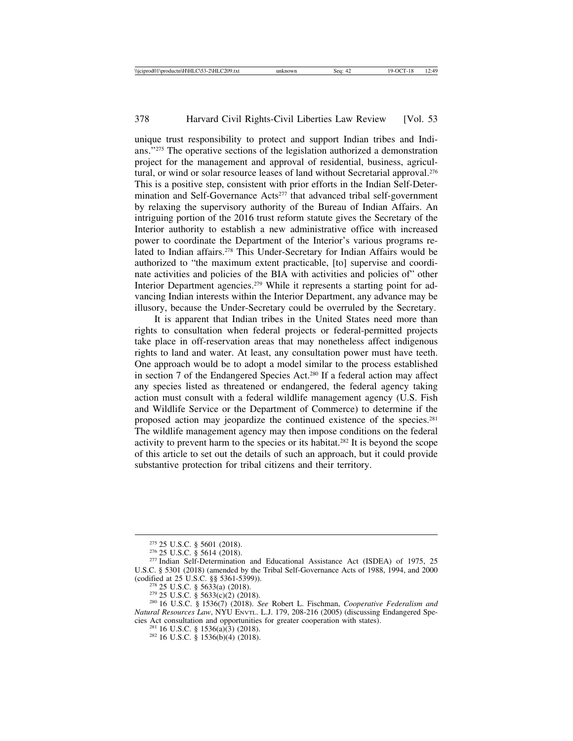unique trust responsibility to protect and support Indian tribes and Indians."275 The operative sections of the legislation authorized a demonstration project for the management and approval of residential, business, agricultural, or wind or solar resource leases of land without Secretarial approval.<sup>276</sup> This is a positive step, consistent with prior efforts in the Indian Self-Determination and Self-Governance Acts<sup>277</sup> that advanced tribal self-government by relaxing the supervisory authority of the Bureau of Indian Affairs. An intriguing portion of the 2016 trust reform statute gives the Secretary of the Interior authority to establish a new administrative office with increased power to coordinate the Department of the Interior's various programs related to Indian affairs.<sup>278</sup> This Under-Secretary for Indian Affairs would be authorized to "the maximum extent practicable, [to] supervise and coordinate activities and policies of the BIA with activities and policies of" other Interior Department agencies.279 While it represents a starting point for advancing Indian interests within the Interior Department, any advance may be illusory, because the Under-Secretary could be overruled by the Secretary.

It is apparent that Indian tribes in the United States need more than rights to consultation when federal projects or federal-permitted projects take place in off-reservation areas that may nonetheless affect indigenous rights to land and water. At least, any consultation power must have teeth. One approach would be to adopt a model similar to the process established in section 7 of the Endangered Species Act.280 If a federal action may affect any species listed as threatened or endangered, the federal agency taking action must consult with a federal wildlife management agency (U.S. Fish and Wildlife Service or the Department of Commerce) to determine if the proposed action may jeopardize the continued existence of the species.281 The wildlife management agency may then impose conditions on the federal activity to prevent harm to the species or its habitat.282 It is beyond the scope of this article to set out the details of such an approach, but it could provide substantive protection for tribal citizens and their territory.

<sup>&</sup>lt;sup>275</sup> 25 U.S.C. § 5601 (2018).<br><sup>276</sup> 25 U.S.C. § 5614 (2018).<br><sup>277</sup> Indian Self-Determination and Educational Assistance Act (ISDEA) of 1975, 25 U.S.C. § 5301 (2018) (amended by the Tribal Self-Governance Acts of 1988, 1994, and 2000 (codified at 25 U.S.C. §§ 5361-5399)).

<sup>&</sup>lt;sup>278</sup> 25 U.S.C. § 5633(a) (2018).<br><sup>279</sup> 25 U.S.C. § 5633(c)(2) (2018).<br><sup>280</sup> 16 U.S.C. § 1536(7) (2018). *See* Robert L. Fischman, *Cooperative Federalism and Natural Resources Law*, NYU ENVTL. L.J. 179, 208-216 (2005) (discussing Endangered Species Act consultation and opportunities for greater cooperation with states).

<sup>&</sup>lt;sup>281</sup> 16 U.S.C. § 1536(a)(3) (2018). <sup>282</sup> 16 U.S.C. § 1536(b)(4) (2018).